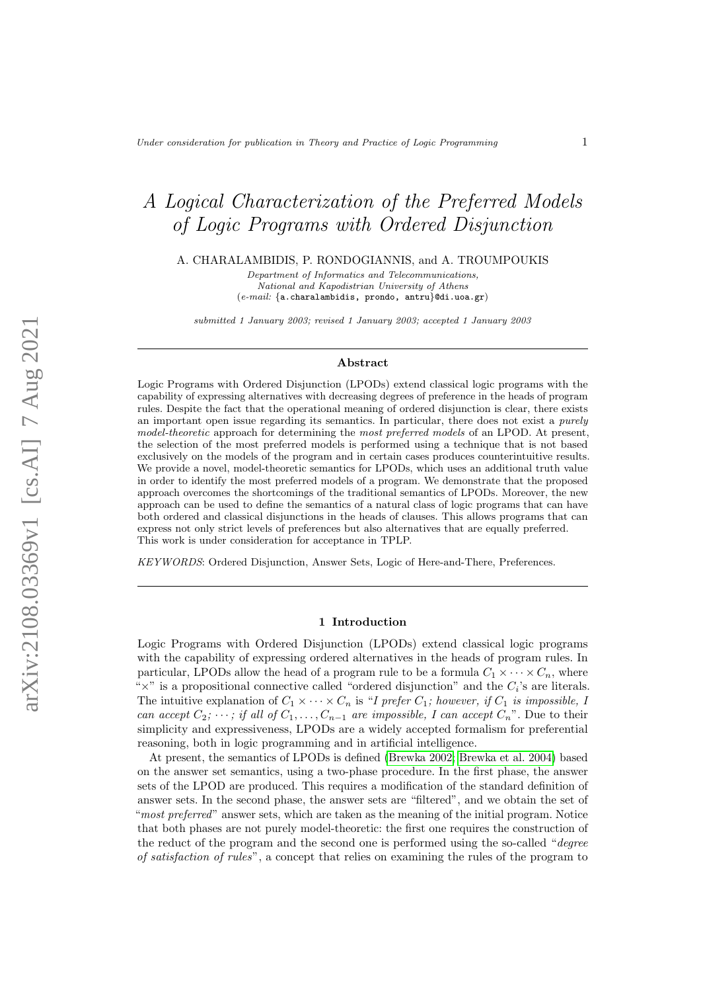# A Logical Characterization of the Preferred Models of Logic Programs with Ordered Disjunction

A. CHARALAMBIDIS, P. RONDOGIANNIS, and A. TROUMPOUKIS

Department of Informatics and Telecommunications, National and Kapodistrian University of Athens (e-mail: {a.charalambidis, prondo, antru}@di.uoa.gr)

submitted 1 January 2003; revised 1 January 2003; accepted 1 January 2003

#### Abstract

Logic Programs with Ordered Disjunction (LPODs) extend classical logic programs with the capability of expressing alternatives with decreasing degrees of preference in the heads of program rules. Despite the fact that the operational meaning of ordered disjunction is clear, there exists an important open issue regarding its semantics. In particular, there does not exist a purely model-theoretic approach for determining the most preferred models of an LPOD. At present, the selection of the most preferred models is performed using a technique that is not based exclusively on the models of the program and in certain cases produces counterintuitive results. We provide a novel, model-theoretic semantics for LPODs, which uses an additional truth value in order to identify the most preferred models of a program. We demonstrate that the proposed approach overcomes the shortcomings of the traditional semantics of LPODs. Moreover, the new approach can be used to define the semantics of a natural class of logic programs that can have both ordered and classical disjunctions in the heads of clauses. This allows programs that can express not only strict levels of preferences but also alternatives that are equally preferred. This work is under consideration for acceptance in TPLP.

KEYWORDS: Ordered Disjunction, Answer Sets, Logic of Here-and-There, Preferences.

# 1 Introduction

Logic Programs with Ordered Disjunction (LPODs) extend classical logic programs with the capability of expressing ordered alternatives in the heads of program rules. In particular, LPODs allow the head of a program rule to be a formula  $C_1 \times \cdots \times C_n$ , where " $\times$ " is a propositional connective called "ordered disjunction" and the  $C_i$ 's are literals. The intuitive explanation of  $C_1 \times \cdots \times C_n$  is "I prefer  $C_1$ ; however, if  $C_1$  is impossible, I can accept  $C_2$ ;  $\cdots$ ; if all of  $C_1, \ldots, C_{n-1}$  are impossible, I can accept  $C_n$ ". Due to their simplicity and expressiveness, LPODs are a widely accepted formalism for preferential reasoning, both in logic programming and in artificial intelligence.

At present, the semantics of LPODs is defined [\(Brewka 2002;](#page-15-0) [Brewka et al.](#page-15-1) 2004) based on the answer set semantics, using a two-phase procedure. In the first phase, the answer sets of the LPOD are produced. This requires a modification of the standard definition of answer sets. In the second phase, the answer sets are "filtered", and we obtain the set of "most preferred" answer sets, which are taken as the meaning of the initial program. Notice that both phases are not purely model-theoretic: the first one requires the construction of the reduct of the program and the second one is performed using the so-called "degree of satisfaction of rules", a concept that relies on examining the rules of the program to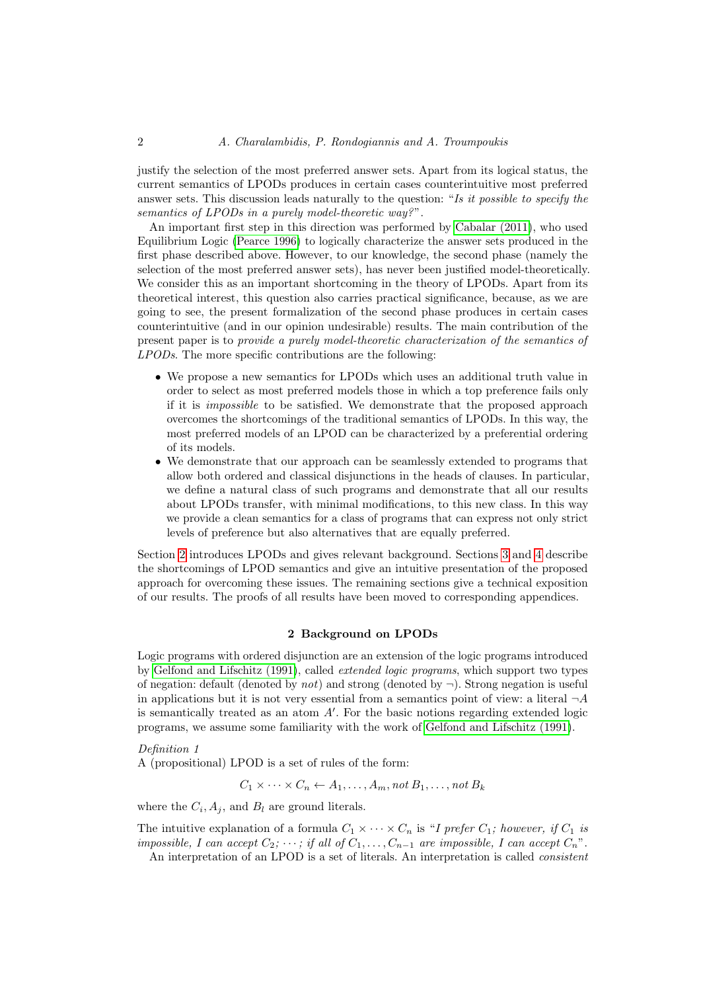justify the selection of the most preferred answer sets. Apart from its logical status, the current semantics of LPODs produces in certain cases counterintuitive most preferred answer sets. This discussion leads naturally to the question: "Is it possible to specify the semantics of LPODs in a purely model-theoretic way?".

An important first step in this direction was performed by [Cabalar \(2011\)](#page-15-2), who used Equilibrium Logic [\(Pearce 1996\)](#page-15-3) to logically characterize the answer sets produced in the first phase described above. However, to our knowledge, the second phase (namely the selection of the most preferred answer sets), has never been justified model-theoretically. We consider this as an important shortcoming in the theory of LPODs. Apart from its theoretical interest, this question also carries practical significance, because, as we are going to see, the present formalization of the second phase produces in certain cases counterintuitive (and in our opinion undesirable) results. The main contribution of the present paper is to provide a purely model-theoretic characterization of the semantics of LPODs. The more specific contributions are the following:

- We propose a new semantics for LPODs which uses an additional truth value in order to select as most preferred models those in which a top preference fails only if it is impossible to be satisfied. We demonstrate that the proposed approach overcomes the shortcomings of the traditional semantics of LPODs. In this way, the most preferred models of an LPOD can be characterized by a preferential ordering of its models.
- We demonstrate that our approach can be seamlessly extended to programs that allow both ordered and classical disjunctions in the heads of clauses. In particular, we define a natural class of such programs and demonstrate that all our results about LPODs transfer, with minimal modifications, to this new class. In this way we provide a clean semantics for a class of programs that can express not only strict levels of preference but also alternatives that are equally preferred.

Section [2](#page-1-0) introduces LPODs and gives relevant background. Sections [3](#page-3-0) and [4](#page-5-0) describe the shortcomings of LPOD semantics and give an intuitive presentation of the proposed approach for overcoming these issues. The remaining sections give a technical exposition of our results. The proofs of all results have been moved to corresponding appendices.

# 2 Background on LPODs

<span id="page-1-0"></span>Logic programs with ordered disjunction are an extension of the logic programs introduced by [Gelfond and Lifschitz \(1991\)](#page-15-4), called extended logic programs, which support two types of negation: default (denoted by *not*) and strong (denoted by  $\neg$ ). Strong negation is useful in applications but it is not very essential from a semantics point of view: a literal  $\neg A$ is semantically treated as an atom  $A'$ . For the basic notions regarding extended logic programs, we assume some familiarity with the work of [Gelfond and Lifschitz \(1991\)](#page-15-4).

# Definition 1 A (propositional) LPOD is a set of rules of the form:

$$
C_1 \times \cdots \times C_n \leftarrow A_1, \ldots, A_m
$$
, not  $B_1, \ldots$ , not  $B_k$ 

where the  $C_i$ ,  $A_j$ , and  $B_l$  are ground literals.

The intuitive explanation of a formula  $C_1 \times \cdots \times C_n$  is "I prefer  $C_1$ ; however, if  $C_1$  is impossible, I can accept  $C_2$ ;  $\cdots$ ; if all of  $C_1, \ldots, C_{n-1}$  are impossible, I can accept  $C_n$ ". An interpretation of an LPOD is a set of literals. An interpretation is called consistent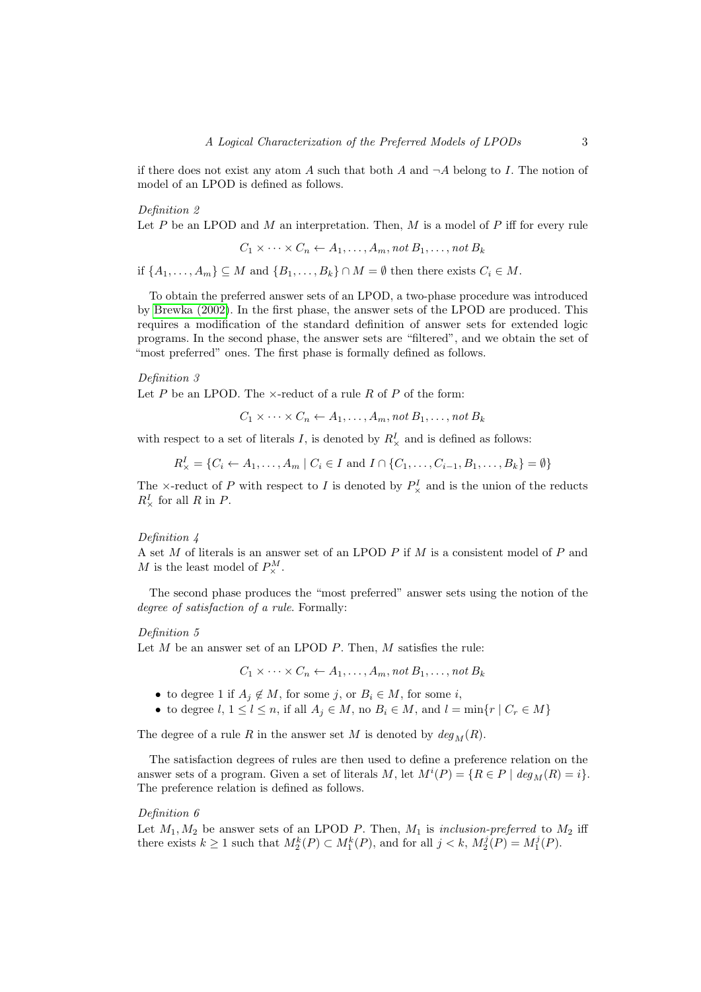if there does not exist any atom A such that both A and  $\neg A$  belong to I. The notion of model of an LPOD is defined as follows.

Definition 2

Let  $P$  be an LPOD and  $M$  an interpretation. Then,  $M$  is a model of  $P$  iff for every rule

<span id="page-2-1"></span>
$$
C_1 \times \cdots \times C_n \leftarrow A_1, \ldots, A_m, \text{not } B_1, \ldots, \text{not } B_k
$$

if  $\{A_1, \ldots, A_m\} \subseteq M$  and  $\{B_1, \ldots, B_k\} \cap M = \emptyset$  then there exists  $C_i \in M$ .

To obtain the preferred answer sets of an LPOD, a two-phase procedure was introduced by [Brewka \(2002\)](#page-15-0). In the first phase, the answer sets of the LPOD are produced. This requires a modification of the standard definition of answer sets for extended logic programs. In the second phase, the answer sets are "filtered", and we obtain the set of "most preferred" ones. The first phase is formally defined as follows.

# Definition 3

Let P be an LPOD. The  $\times$ -reduct of a rule R of P of the form:

<span id="page-2-3"></span> $C_1 \times \cdots \times C_n \leftarrow A_1, \ldots, A_m$ , not  $B_1, \ldots, n$ ot  $B_k$ 

with respect to a set of literals I, is denoted by  $R_{\times}^{I}$  and is defined as follows:

 $R_{\times}^{I} = \{C_i \leftarrow A_1, \ldots, A_m \mid C_i \in I \text{ and } I \cap \{C_1, \ldots, C_{i-1}, B_1, \ldots, B_k\} = \emptyset\}$ 

The  $\times$ -reduct of P with respect to I is denoted by  $P^I_{\times}$  and is the union of the reducts  $R^I_\times$  for all R in P.

# <span id="page-2-4"></span>Definition 4

A set  $M$  of literals is an answer set of an LPOD  $P$  if  $M$  is a consistent model of  $P$  and M is the least model of  $P^M_{\times}$ .

The second phase produces the "most preferred" answer sets using the notion of the degree of satisfaction of a rule. Formally:

#### Definition 5

Let  $M$  be an answer set of an LPOD  $P$ . Then,  $M$  satisfies the rule:

<span id="page-2-2"></span><span id="page-2-0"></span> $C_1 \times \cdots \times C_n \leftarrow A_1, \ldots, A_m$ , not  $B_1, \ldots, n$ ot  $B_k$ 

- to degree 1 if  $A_i \notin M$ , for some j, or  $B_i \in M$ , for some i,
- to degree  $l, 1 \leq l \leq n$ , if all  $A_j \in M$ , no  $B_i \in M$ , and  $l = \min\{r \mid C_r \in M\}$

The degree of a rule R in the answer set M is denoted by  $deg_M(R)$ .

The satisfaction degrees of rules are then used to define a preference relation on the answer sets of a program. Given a set of literals M, let  $M^{i}(P) = \{R \in P \mid \deg_{M}(R) = i\}.$ The preference relation is defined as follows.

# Definition 6

Let  $M_1, M_2$  be answer sets of an LPOD P. Then,  $M_1$  is inclusion-preferred to  $M_2$  iff there exists  $k \geq 1$  such that  $M_2^k(P) \subset M_1^k(P)$ , and for all  $j < k$ ,  $M_2^j(P) = M_1^j(P)$ .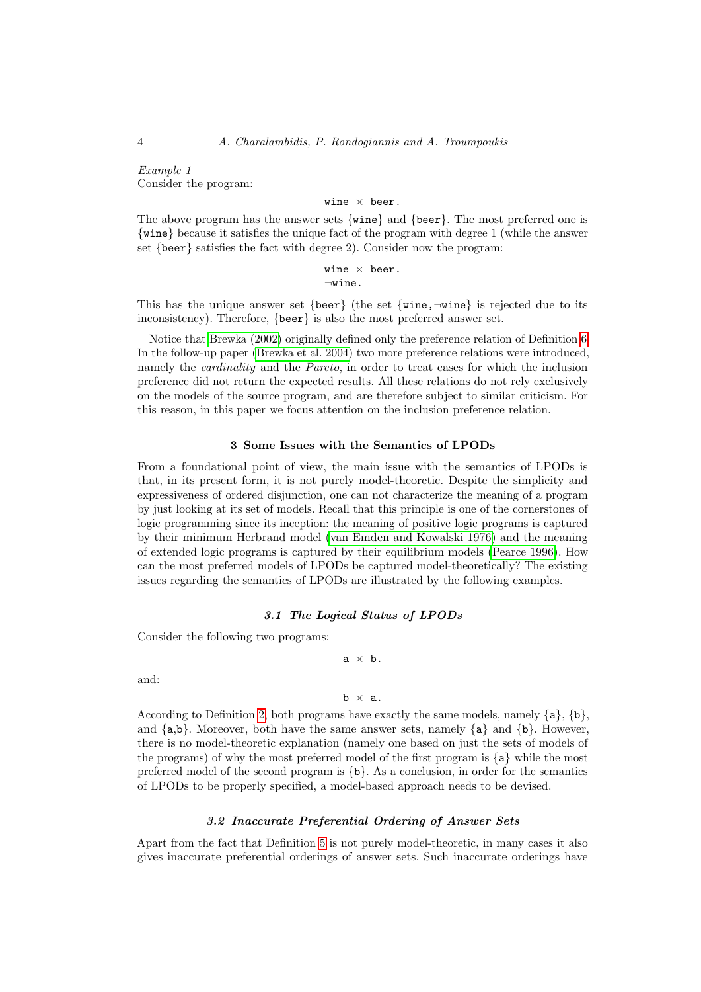Example 1 Consider the program:

wine  $\times$  beer.

The above program has the answer sets {wine} and {beer}. The most preferred one is {wine} because it satisfies the unique fact of the program with degree 1 (while the answer set {beer} satisfies the fact with degree 2). Consider now the program:

> wine  $\times$  beer.  $\neg$ wine.

This has the unique answer set {beer} (the set {wine, $\neg$ wine} is rejected due to its inconsistency). Therefore, {beer} is also the most preferred answer set.

Notice that [Brewka \(2002\)](#page-15-0) originally defined only the preference relation of Definition [6.](#page-2-0) In the follow-up paper [\(Brewka et al.](#page-15-1) 2004) two more preference relations were introduced, namely the cardinality and the Pareto, in order to treat cases for which the inclusion preference did not return the expected results. All these relations do not rely exclusively on the models of the source program, and are therefore subject to similar criticism. For this reason, in this paper we focus attention on the inclusion preference relation.

# 3 Some Issues with the Semantics of LPODs

<span id="page-3-0"></span>From a foundational point of view, the main issue with the semantics of LPODs is that, in its present form, it is not purely model-theoretic. Despite the simplicity and expressiveness of ordered disjunction, one can not characterize the meaning of a program by just looking at its set of models. Recall that this principle is one of the cornerstones of logic programming since its inception: the meaning of positive logic programs is captured by their minimum Herbrand model [\(van Emden and Kowalski 1976\)](#page-15-5) and the meaning of extended logic programs is captured by their equilibrium models [\(Pearce 1996\)](#page-15-3). How can the most preferred models of LPODs be captured model-theoretically? The existing issues regarding the semantics of LPODs are illustrated by the following examples.

# 3.1 The Logical Status of LPODs

<span id="page-3-1"></span>Consider the following two programs:

$$
\quad \text{a}\; \times \; \text{b}\,.
$$

and:

 $b \times a$ .

According to Definition [2,](#page-2-1) both programs have exactly the same models, namely  $\{a\}, \{b\}$ , and  $\{a,b\}$ . Moreover, both have the same answer sets, namely  $\{a\}$  and  $\{b\}$ . However, there is no model-theoretic explanation (namely one based on just the sets of models of the programs) of why the most preferred model of the first program is {a} while the most preferred model of the second program is  ${b}$ . As a conclusion, in order for the semantics of LPODs to be properly specified, a model-based approach needs to be devised.

# 3.2 Inaccurate Preferential Ordering of Answer Sets

<span id="page-3-2"></span>Apart from the fact that Definition [5](#page-2-2) is not purely model-theoretic, in many cases it also gives inaccurate preferential orderings of answer sets. Such inaccurate orderings have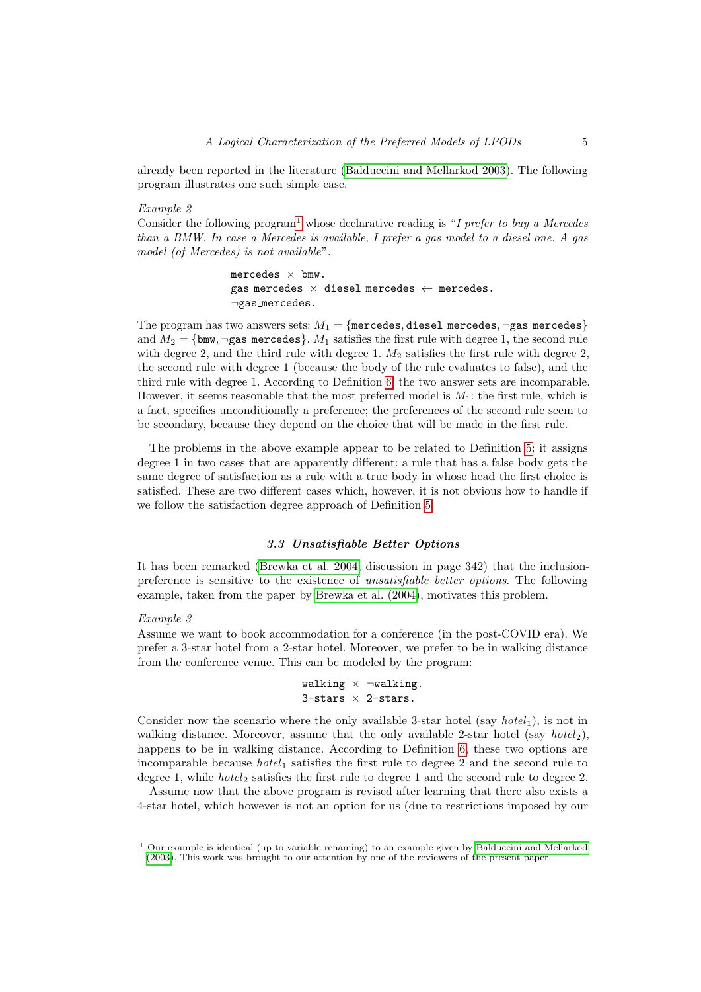already been reported in the literature [\(Balduccini and Mellarkod 2003\)](#page-15-6). The following program illustrates one such simple case.

# Example 2

Consider the following program<sup>[1](#page-4-0)</sup> whose declarative reading is "I prefer to buy a Mercedes" than a BMW. In case a Mercedes is available, I prefer a gas model to a diesel one. A gas model (of Mercedes) is not available".

> mercedes  $\times$  bmw. gas mercedes  $\times$  diesel mercedes  $\leftarrow$  mercedes. ¬gas mercedes.

The program has two answers sets:  $M_1 = \{$ mercedes, diesel mercedes,  $\neg$ gas mercedes $\}$ and  $M_2 = \{b \text{mw}, \neg \text{gas}_{\text{me} \text{reddes}}\}$ .  $M_1$  satisfies the first rule with degree 1, the second rule with degree 2, and the third rule with degree 1.  $M_2$  satisfies the first rule with degree 2, the second rule with degree 1 (because the body of the rule evaluates to false), and the third rule with degree 1. According to Definition [6,](#page-2-0) the two answer sets are incomparable. However, it seems reasonable that the most preferred model is  $M_1$ : the first rule, which is a fact, specifies unconditionally a preference; the preferences of the second rule seem to be secondary, because they depend on the choice that will be made in the first rule.

The problems in the above example appear to be related to Definition [5:](#page-2-2) it assigns degree 1 in two cases that are apparently different: a rule that has a false body gets the same degree of satisfaction as a rule with a true body in whose head the first choice is satisfied. These are two different cases which, however, it is not obvious how to handle if we follow the satisfaction degree approach of Definition [5.](#page-2-2)

# 3.3 Unsatisfiable Better Options

<span id="page-4-1"></span>It has been remarked [\(Brewka et al.](#page-15-1) 2004, discussion in page 342) that the inclusionpreference is sensitive to the existence of unsatisfiable better options. The following example, taken from the paper by [Brewka et al. \(2004\)](#page-15-1), motivates this problem.

#### Example 3

Assume we want to book accommodation for a conference (in the post-COVID era). We prefer a 3-star hotel from a 2-star hotel. Moreover, we prefer to be in walking distance from the conference venue. This can be modeled by the program:

```
walking \times \neg walking.
3-stars \times 2-stars.
```
Consider now the scenario where the only available 3-star hotel (say  $hotel<sub>1</sub>$ ), is not in walking distance. Moreover, assume that the only available 2-star hotel (say hotel<sub>2</sub>), happens to be in walking distance. According to Definition [6,](#page-2-0) these two options are incomparable because *hotel*  $_1$  satisfies the first rule to degree 2 and the second rule to degree 1, while  $hotel<sub>2</sub>$  satisfies the first rule to degree 1 and the second rule to degree 2.

Assume now that the above program is revised after learning that there also exists a 4-star hotel, which however is not an option for us (due to restrictions imposed by our

<span id="page-4-0"></span> $1$  Our example is identical (up to variable renaming) to an example given by [Balduccini and Mellarkod](#page-15-6) [\(2003\)](#page-15-6). This work was brought to our attention by one of the reviewers of the present paper.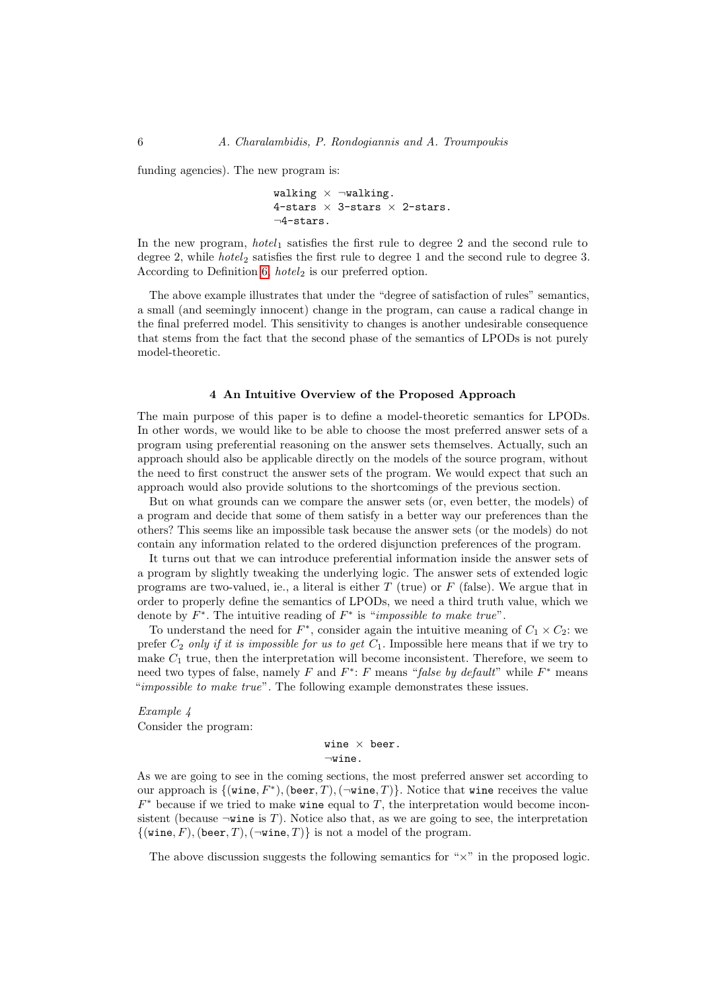funding agencies). The new program is:

```
walking \times \negwalking.
4-stars \times 3-stars \times 2-stars.
¬4-stars.
```
In the new program,  $hotel_1$  satisfies the first rule to degree 2 and the second rule to degree 2, while *hotel*<sub>2</sub> satisfies the first rule to degree 1 and the second rule to degree 3. According to Definition [6,](#page-2-0)  $hotel<sub>2</sub>$  is our preferred option.

The above example illustrates that under the "degree of satisfaction of rules" semantics, a small (and seemingly innocent) change in the program, can cause a radical change in the final preferred model. This sensitivity to changes is another undesirable consequence that stems from the fact that the second phase of the semantics of LPODs is not purely model-theoretic.

# 4 An Intuitive Overview of the Proposed Approach

<span id="page-5-0"></span>The main purpose of this paper is to define a model-theoretic semantics for LPODs. In other words, we would like to be able to choose the most preferred answer sets of a program using preferential reasoning on the answer sets themselves. Actually, such an approach should also be applicable directly on the models of the source program, without the need to first construct the answer sets of the program. We would expect that such an approach would also provide solutions to the shortcomings of the previous section.

But on what grounds can we compare the answer sets (or, even better, the models) of a program and decide that some of them satisfy in a better way our preferences than the others? This seems like an impossible task because the answer sets (or the models) do not contain any information related to the ordered disjunction preferences of the program.

It turns out that we can introduce preferential information inside the answer sets of a program by slightly tweaking the underlying logic. The answer sets of extended logic programs are two-valued, ie., a literal is either  $T$  (true) or  $F$  (false). We argue that in order to properly define the semantics of LPODs, we need a third truth value, which we denote by  $F^*$ . The intuitive reading of  $F^*$  is "*impossible to make true*".

To understand the need for  $F^*$ , consider again the intuitive meaning of  $C_1 \times C_2$ : we prefer  $C_2$  only if it is impossible for us to get  $C_1$ . Impossible here means that if we try to make  $C_1$  true, then the interpretation will become inconsistent. Therefore, we seem to need two types of false, namely F and  $F^*$ : F means "false by default" while  $F^*$  means "*impossible to make true*". The following example demonstrates these issues.

Example 4 Consider the program:

> wine  $\times$  beer.  $\neg$ wine.

As we are going to see in the coming sections, the most preferred answer set according to our approach is  $\{(\text{vine}, F^*), (\text{been}, T), (\neg \text{vine}, T)\}.$  Notice that wine receives the value  $F^*$  because if we tried to make wine equal to T, the interpretation would become inconsistent (because  $\neg$ wine is T). Notice also that, as we are going to see, the interpretation  $\{($ **wine,**  $F)$ , (beer,  $T$ ), ( $\neg$ **wine**,  $T$ )} is not a model of the program.

The above discussion suggests the following semantics for " $\times$ " in the proposed logic.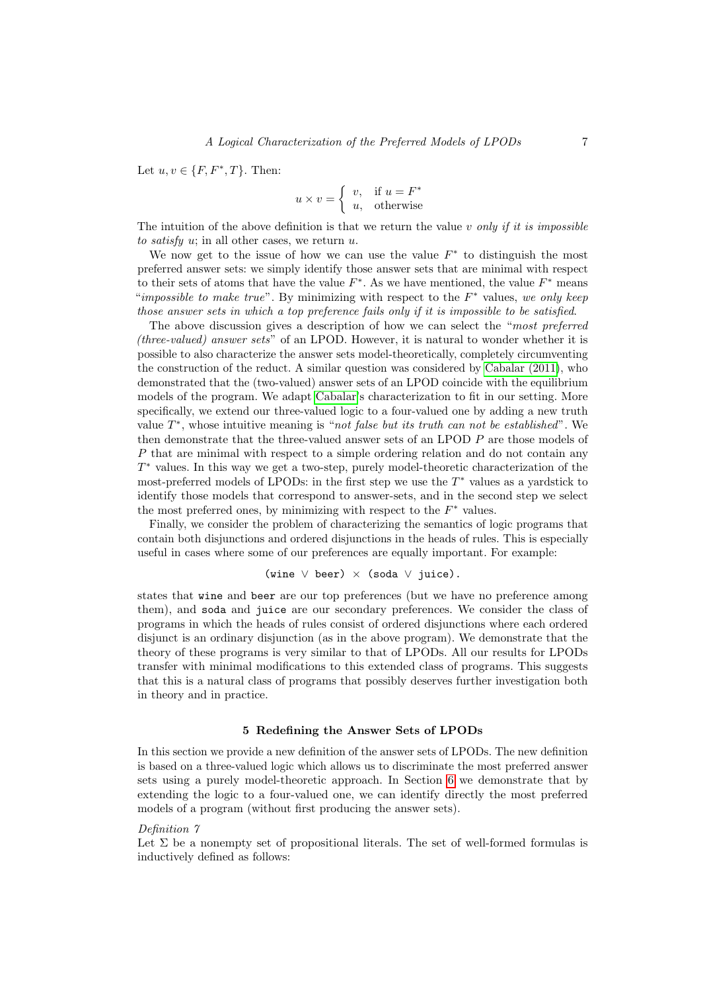Let  $u, v \in \{F, F^*, T\}$ . Then:

$$
u \times v = \begin{cases} v, & \text{if } u = F^* \\ u, & \text{otherwise} \end{cases}
$$

The intuition of the above definition is that we return the value v only if it is impossible to satisfy u; in all other cases, we return  $u$ .

We now get to the issue of how we can use the value  $F^*$  to distinguish the most preferred answer sets: we simply identify those answer sets that are minimal with respect to their sets of atoms that have the value  $F^*$ . As we have mentioned, the value  $F^*$  means "impossible to make true". By minimizing with respect to the  $F^*$  values, we only keep those answer sets in which a top preference fails only if it is impossible to be satisfied.

The above discussion gives a description of how we can select the "most preferred (three-valued) answer sets" of an LPOD. However, it is natural to wonder whether it is possible to also characterize the answer sets model-theoretically, completely circumventing the construction of the reduct. A similar question was considered by [Cabalar \(2011\)](#page-15-2), who demonstrated that the (two-valued) answer sets of an LPOD coincide with the equilibrium models of the program. We adapt [Cabalar'](#page-15-2)s characterization to fit in our setting. More specifically, we extend our three-valued logic to a four-valued one by adding a new truth value  $T^*$ , whose intuitive meaning is "not false but its truth can not be established". We then demonstrate that the three-valued answer sets of an LPOD P are those models of P that are minimal with respect to a simple ordering relation and do not contain any T <sup>∗</sup> values. In this way we get a two-step, purely model-theoretic characterization of the most-preferred models of LPODs: in the first step we use the  $T^*$  values as a yardstick to identify those models that correspond to answer-sets, and in the second step we select the most preferred ones, by minimizing with respect to the  $F^*$  values.

Finally, we consider the problem of characterizing the semantics of logic programs that contain both disjunctions and ordered disjunctions in the heads of rules. This is especially useful in cases where some of our preferences are equally important. For example:

(wine  $\vee$  beer)  $\times$  (soda  $\vee$  juice).

states that wine and beer are our top preferences (but we have no preference among them), and soda and juice are our secondary preferences. We consider the class of programs in which the heads of rules consist of ordered disjunctions where each ordered disjunct is an ordinary disjunction (as in the above program). We demonstrate that the theory of these programs is very similar to that of LPODs. All our results for LPODs transfer with minimal modifications to this extended class of programs. This suggests that this is a natural class of programs that possibly deserves further investigation both in theory and in practice.

#### 5 Redefining the Answer Sets of LPODs

<span id="page-6-0"></span>In this section we provide a new definition of the answer sets of LPODs. The new definition is based on a three-valued logic which allows us to discriminate the most preferred answer sets using a purely model-theoretic approach. In Section [6](#page-10-0) we demonstrate that by extending the logic to a four-valued one, we can identify directly the most preferred models of a program (without first producing the answer sets).

# Definition 7

Let  $\Sigma$  be a nonempty set of propositional literals. The set of well-formed formulas is inductively defined as follows: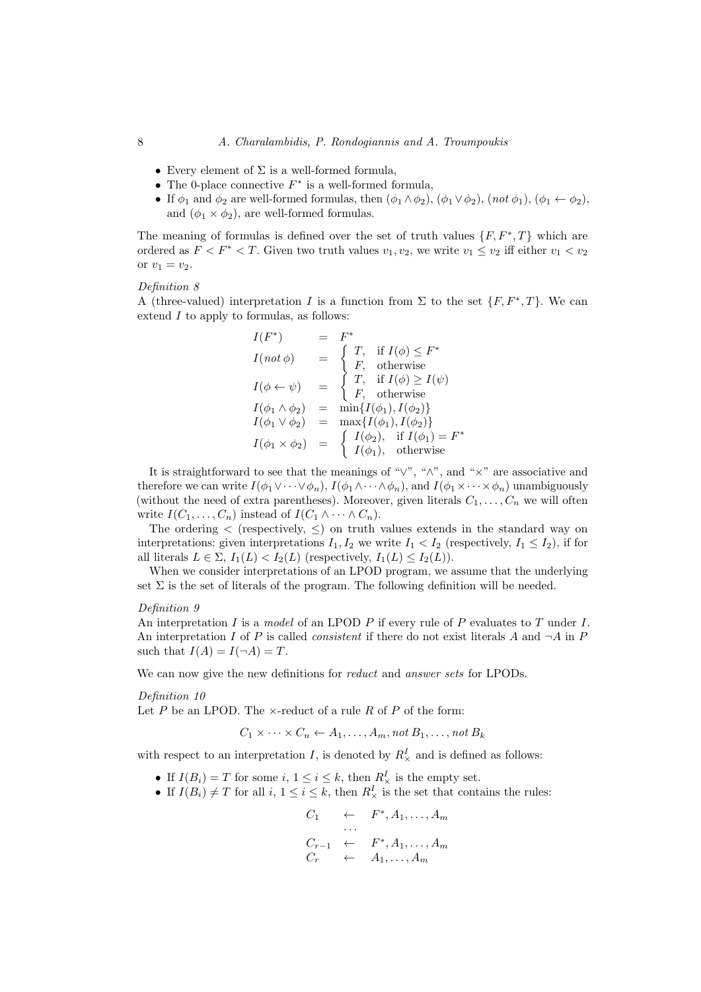- Every element of  $\Sigma$  is a well-formed formula,
- The 0-place connective  $F^*$  is a well-formed formula,
- If  $\phi_1$  and  $\phi_2$  are well-formed formulas, then  $(\phi_1 \wedge \phi_2)$ ,  $(\phi_1 \vee \phi_2)$ ,  $(not \phi_1)$ ,  $(\phi_1 \leftarrow \phi_2)$ , and  $(\phi_1 \times \phi_2)$ , are well-formed formulas.

<span id="page-7-0"></span>The meaning of formulas is defined over the set of truth values  $\{F, F^*, T\}$  which are ordered as  $F < F^* < T$ . Given two truth values  $v_1, v_2$ , we write  $v_1 \le v_2$  iff either  $v_1 < v_2$ or  $v_1 = v_2$ .

#### Definition 8

A (three-valued) interpretation I is a function from  $\Sigma$  to the set  $\{F, F^*, T\}$ . We can extend  $I$  to apply to formulas, as follows:

$$
I(F^*) = F^*
$$
  
\n
$$
I(not \phi) = \begin{cases} T, & \text{if } I(\phi) \le F^* \\ F, & \text{otherwise} \end{cases}
$$
  
\n
$$
I(\phi \leftarrow \psi) = \begin{cases} T, & \text{if } I(\phi) \ge I(\psi) \\ F, & \text{otherwise} \end{cases}
$$
  
\n
$$
I(\phi_1 \wedge \phi_2) = \min\{I(\phi_1), I(\phi_2)\}
$$
  
\n
$$
I(\phi_1 \vee \phi_2) = \max\{I(\phi_1), I(\phi_2)\}
$$
  
\n
$$
I(\phi_1 \times \phi_2) = \begin{cases} I(\phi_2), & \text{if } I(\phi_1) = F^* \\ I(\phi_1), & \text{otherwise} \end{cases}
$$

It is straightforward to see that the meanings of " $\vee$ ", " $\wedge$ ", and " $\times$ " are associative and therefore we can write  $I(\phi_1 \vee \cdots \vee \phi_n)$ ,  $I(\phi_1 \wedge \cdots \wedge \phi_n)$ , and  $I(\phi_1 \times \cdots \times \phi_n)$  unambiguously (without the need of extra parentheses). Moreover, given literals  $C_1, \ldots, C_n$  we will often write  $I(C_1, \ldots, C_n)$  instead of  $I(C_1 \wedge \cdots \wedge C_n)$ .

The ordering  $\langle$  (respectively,  $\leq$ ) on truth values extends in the standard way on interpretations: given interpretations  $I_1, I_2$  we write  $I_1 < I_2$  (respectively,  $I_1 \leq I_2$ ), if for all literals  $L \in \Sigma$ ,  $I_1(L) < I_2(L)$  (respectively,  $I_1(L) \leq I_2(L)$ ).

When we consider interpretations of an LPOD program, we assume that the underlying set  $\Sigma$  is the set of literals of the program. The following definition will be needed.

### Definition 9

An interpretation I is a model of an LPOD P if every rule of P evaluates to T under I. An interpretation I of P is called *consistent* if there do not exist literals A and  $\neg A$  in P such that  $I(A) = I(\neg A) = T$ .

We can now give the new definitions for *reduct* and *answer sets* for LPODs.

#### Definition 10

Let P be an LPOD. The  $\times$ -reduct of a rule R of P of the form:

 $C_1 \times \cdots \times C_n \leftarrow A_1, \ldots, A_m$ , not  $B_1, \ldots, \text{not } B_k$ 

with respect to an interpretation I, is denoted by  $R^I_\times$  and is defined as follows:

- If  $I(B_i) = T$  for some  $i, 1 \le i \le k$ , then  $R^I_{\times}$  is the empty set.
- If  $I(B_i) \neq T$  for all  $i, 1 \leq i \leq k$ , then  $R^I_{\times}$  is the set that contains the rules:

<span id="page-7-2"></span><span id="page-7-1"></span>
$$
C_1 \leftarrow F^*, A_1, \ldots, A_m
$$
  
\n
$$
\cdots
$$
  
\n
$$
C_{r-1} \leftarrow F^*, A_1, \ldots, A_m
$$
  
\n
$$
C_r \leftarrow A_1, \ldots, A_m
$$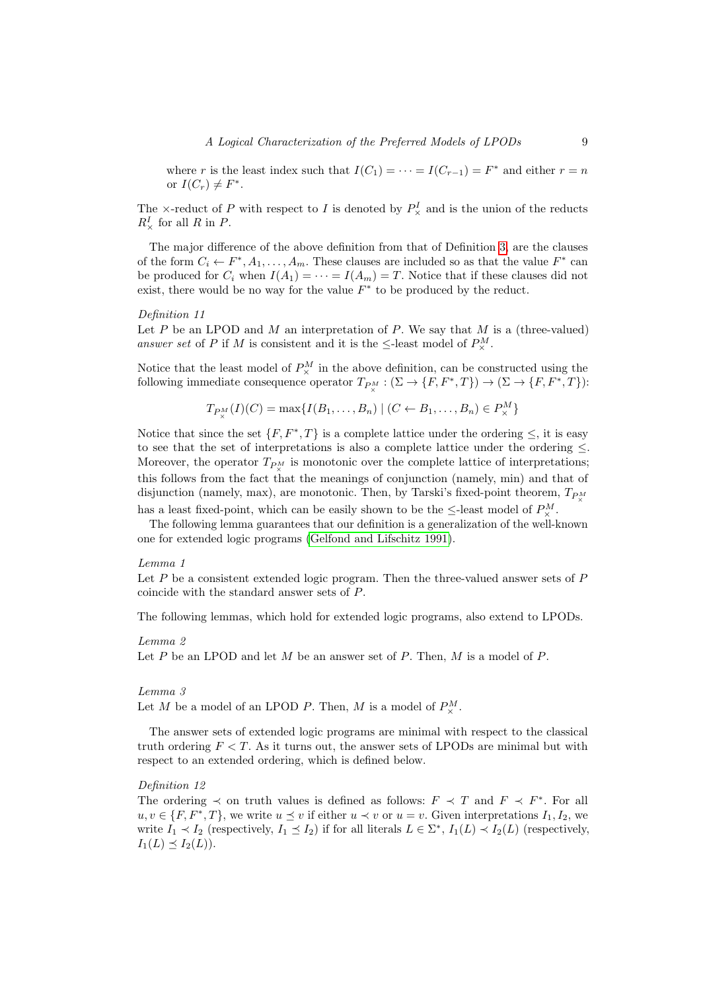where r is the least index such that  $I(C_1) = \cdots = I(C_{r-1}) = F^*$  and either  $r = n$ or  $I(C_r) \neq F^*$ .

The  $\times$ -reduct of P with respect to I is denoted by  $P^I_{\times}$  and is the union of the reducts  $R^I_\times$  for all R in P.

The major difference of the above definition from that of Definition [3,](#page-2-3) are the clauses of the form  $C_i \leftarrow F^*, A_1, \ldots, A_m$ . These clauses are included so as that the value  $F^*$  can be produced for  $C_i$  when  $I(A_1) = \cdots = I(A_m) = T$ . Notice that if these clauses did not exist, there would be no way for the value  $F^*$  to be produced by the reduct.

# Definition 11

Let  $P$  be an LPOD and  $M$  an interpretation of  $P$ . We say that  $M$  is a (three-valued) answer set of P if M is consistent and it is the  $\leq$ -least model of  $P^M_{\times}$ .

Notice that the least model of  $P_{\times}^M$  in the above definition, can be constructed using the following immediate consequence operator  $T_{P_{\times}^M} : (\Sigma \to \{F, F^*, T\}) \to (\Sigma \to \{F, F^*, T\})$ :

<span id="page-8-2"></span><span id="page-8-1"></span>
$$
T_{P^M_\times}(I)(C) = \max\{I(B_1,\ldots,B_n) \mid (C \leftarrow B_1,\ldots,B_n) \in P^M_\times\}
$$

Notice that since the set  $\{F, F^*, T\}$  is a complete lattice under the ordering  $\leq$ , it is easy to see that the set of interpretations is also a complete lattice under the ordering  $\leq$ . Moreover, the operator  $T_{P_N^M}$  is monotonic over the complete lattice of interpretations; this follows from the fact that the meanings of conjunction (namely, min) and that of disjunction (namely, max), are monotonic. Then, by Tarski's fixed-point theorem,  $T_{PM}$ has a least fixed-point, which can be easily shown to be the  $\leq$ -least model of  $P^M_\times$ .

The following lemma guarantees that our definition is a generalization of the well-known one for extended logic programs [\(Gelfond and Lifschitz 1991\)](#page-15-4).

### Lemma 1

Let  $P$  be a consistent extended logic program. Then the three-valued answer sets of  $P$ coincide with the standard answer sets of P.

The following lemmas, which hold for extended logic programs, also extend to LPODs.

# Lemma 2

Let  $P$  be an LPOD and let  $M$  be an answer set of  $P$ . Then,  $M$  is a model of  $P$ .

#### <span id="page-8-3"></span>Lemma 3

Let M be a model of an LPOD P. Then, M is a model of  $P^M_{\times}$ .

The answer sets of extended logic programs are minimal with respect to the classical truth ordering  $F < T$ . As it turns out, the answer sets of LPODs are minimal but with respect to an extended ordering, which is defined below.

#### <span id="page-8-0"></span>Definition 12

<span id="page-8-4"></span>The ordering  $\prec$  on truth values is defined as follows:  $F \prec T$  and  $F \prec F^*$ . For all  $u, v \in \{F, F^*, T\}$ , we write  $u \preceq v$  if either  $u \prec v$  or  $u = v$ . Given interpretations  $I_1, I_2$ , we write  $I_1 \prec I_2$  (respectively,  $I_1 \preceq I_2$ ) if for all literals  $L \in \Sigma^*$ ,  $I_1(L) \prec I_2(L)$  (respectively,  $I_1(L) \preceq I_2(L)$ .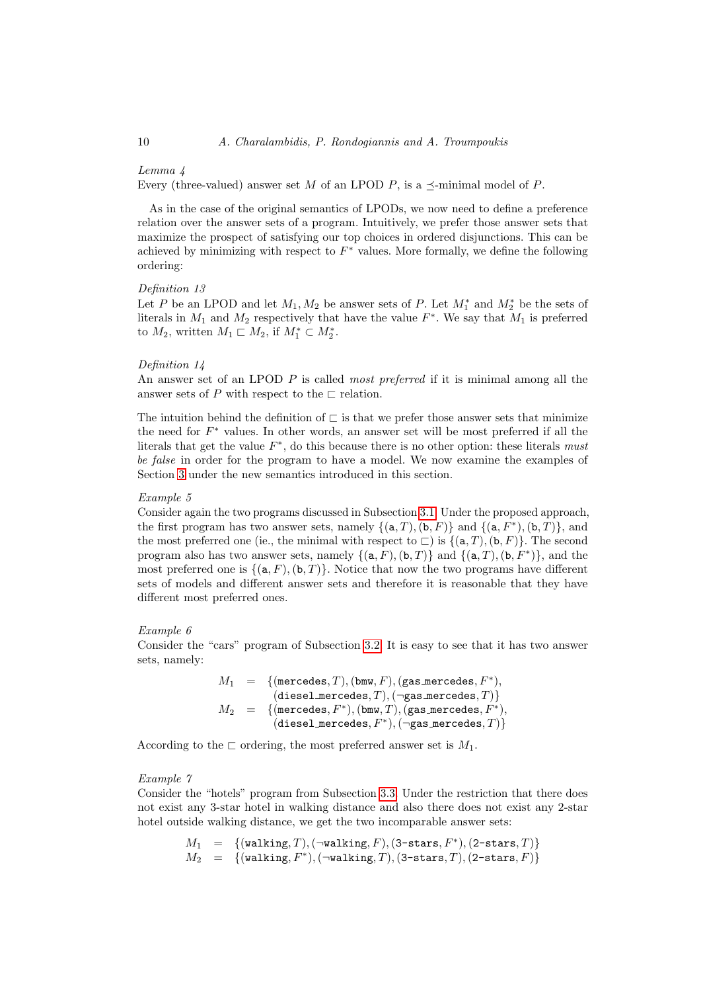#### Lemma 4

Every (three-valued) answer set M of an LPOD P, is a  $\preceq$ -minimal model of P.

As in the case of the original semantics of LPODs, we now need to define a preference relation over the answer sets of a program. Intuitively, we prefer those answer sets that maximize the prospect of satisfying our top choices in ordered disjunctions. This can be achieved by minimizing with respect to  $F^*$  values. More formally, we define the following ordering:

#### <span id="page-9-0"></span>Definition 13

Let P be an LPOD and let  $M_1, M_2$  be answer sets of P. Let  $M_1^*$  and  $M_2^*$  be the sets of literals in  $M_1$  and  $M_2$  respectively that have the value  $F^*$ . We say that  $M_1$  is preferred to  $M_2$ , written  $M_1 \sqsubset M_2$ , if  $M_1^* \subset M_2^*$ .

#### <span id="page-9-1"></span>Definition 14

An answer set of an LPOD P is called most preferred if it is minimal among all the answer sets of P with respect to the  $\sqsubset$  relation.

The intuition behind the definition of  $\sqsubset$  is that we prefer those answer sets that minimize the need for  $F^*$  values. In other words, an answer set will be most preferred if all the literals that get the value  $F^*$ , do this because there is no other option: these literals must be false in order for the program to have a model. We now examine the examples of Section [3](#page-3-0) under the new semantics introduced in this section.

#### Example 5

Consider again the two programs discussed in Subsection [3.1.](#page-3-1) Under the proposed approach, the first program has two answer sets, namely  $\{(\texttt{a}, T), (\texttt{b}, F)\}\$  and  $\{(\texttt{a}, F^*), (\texttt{b}, T)\}\$ , and the most preferred one (ie., the minimal with respect to  $\Box$ ) is  $\{(\mathsf{a}, T), (\mathsf{b}, F)\}\.$  The second program also has two answer sets, namely  $\{(\texttt{a}, F), (\texttt{b}, T)\}\$  and  $\{(\texttt{a}, T), (\texttt{b}, F^*)\}\$ , and the most preferred one is  $\{(a, F), (b, T)\}\$ . Notice that now the two programs have different sets of models and different answer sets and therefore it is reasonable that they have different most preferred ones.

#### Example 6

Consider the "cars" program of Subsection [3.2.](#page-3-2) It is easy to see that it has two answer sets, namely:

$$
\begin{array}{rcl} M_1 & = & \{(\text{mercedes},T),(\text{bmw},F),(\text{gas\_mercedes},F^*),\;\\ & (\text{diesel\_mercedes},T),(\text{mgas\_mercedes},T)\} \\ M_2 & = & \{(\text{mercedes},F^*),(\text{bmw},T),(\text{gas\_mercedes},F^*),\;(\text{diesel\_mercedes},F^*),(\text{mgas\_mercedes},T)\} \end{array}
$$

According to the  $\sqsubset$  ordering, the most preferred answer set is  $M_1$ .

#### Example 7

Consider the "hotels" program from Subsection [3.3.](#page-4-1) Under the restriction that there does not exist any 3-star hotel in walking distance and also there does not exist any 2-star hotel outside walking distance, we get the two incomparable answer sets:

$$
M_1 = \{(\text{waltung}, T), (\neg \text{waltung}, F), (3\text{-stars}, F^*), (2\text{-stars}, T)\}
$$
  

$$
M_2 = \{(\text{waltung}, F^*), (\neg \text{waltung}, T), (3\text{-stars}, T), (2\text{-stars}, F)\}
$$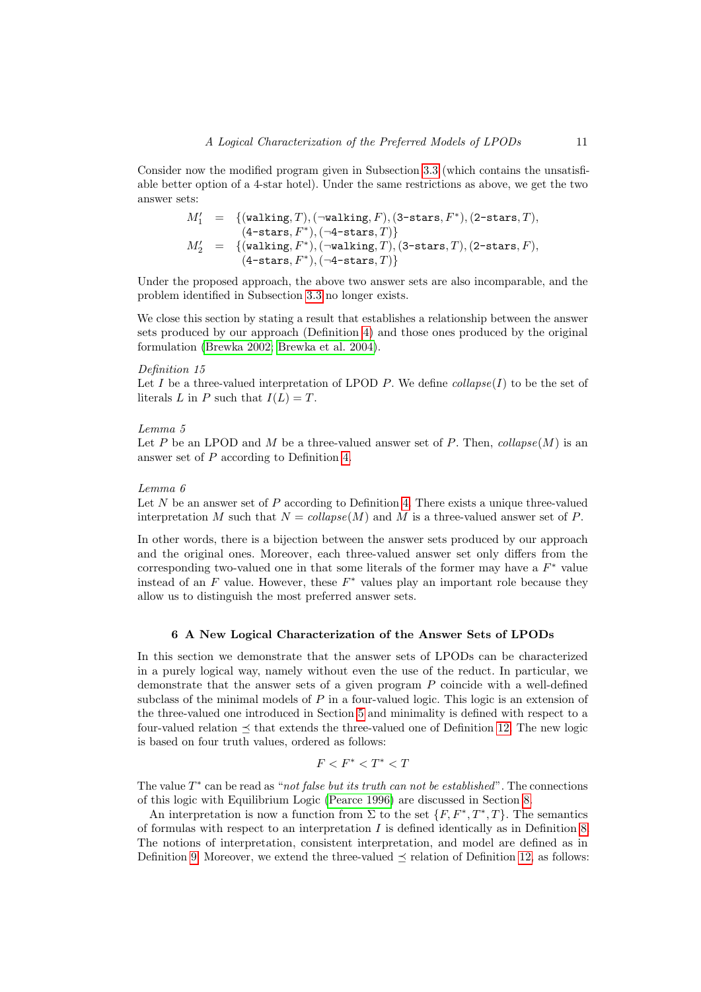Consider now the modified program given in Subsection [3.3](#page-4-1) (which contains the unsatisfiable better option of a 4-star hotel). Under the same restrictions as above, we get the two answer sets:

<span id="page-10-3"></span>
$$
\begin{array}{rcl} M'_1&=&\{(\mathtt{walking},T),(\neg \mathtt{walking},F),(\texttt{3-states},F^*),(\texttt{2-states},T),\\ &(\texttt{4-states},F^*),(\neg \texttt{4-states},T)\} \\ M'_2&=&\{(\mathtt{walking},F^*),(\neg \mathtt{walking},T),(\texttt{3-states},T),(\texttt{2-states},F),\\ &(\texttt{4-states},F^*),(\neg \texttt{4-states},T)\}\end{array}
$$

Under the proposed approach, the above two answer sets are also incomparable, and the problem identified in Subsection [3.3](#page-4-1) no longer exists.

We close this section by stating a result that establishes a relationship between the answer sets produced by our approach (Definition [4\)](#page-2-4) and those ones produced by the original formulation [\(Brewka 2002;](#page-15-0) [Brewka et al. 2004\)](#page-15-1).

#### Definition 15

Let I be a three-valued interpretation of LPOD P. We define  $collapse(I)$  to be the set of literals L in P such that  $I(L) = T$ .

#### <span id="page-10-1"></span>Lemma 5

Let P be an LPOD and M be a three-valued answer set of P. Then,  $collapse(M)$  is an answer set of P according to Definition [4.](#page-2-4)

#### <span id="page-10-2"></span>Lemma 6

Let  $N$  be an answer set of  $P$  according to Definition [4.](#page-2-4) There exists a unique three-valued interpretation M such that  $N = collapse(M)$  and M is a three-valued answer set of P.

In other words, there is a bijection between the answer sets produced by our approach and the original ones. Moreover, each three-valued answer set only differs from the corresponding two-valued one in that some literals of the former may have a  $F^*$  value instead of an  $F$  value. However, these  $F^*$  values play an important role because they allow us to distinguish the most preferred answer sets.

# 6 A New Logical Characterization of the Answer Sets of LPODs

<span id="page-10-0"></span>In this section we demonstrate that the answer sets of LPODs can be characterized in a purely logical way, namely without even the use of the reduct. In particular, we demonstrate that the answer sets of a given program P coincide with a well-defined subclass of the minimal models of  $P$  in a four-valued logic. This logic is an extension of the three-valued one introduced in Section [5](#page-6-0) and minimality is defined with respect to a four-valued relation  $\preceq$  that extends the three-valued one of Definition [12.](#page-8-0) The new logic is based on four truth values, ordered as follows:

$$
F
$$

The value  $T^*$  can be read as "not false but its truth can not be established". The connections of this logic with Equilibrium Logic [\(Pearce 1996\)](#page-15-3) are discussed in Section [8.](#page-14-0)

An interpretation is now a function from  $\Sigma$  to the set  $\{F, F^*, T^*, T\}$ . The semantics of formulas with respect to an interpretation  $I$  is defined identically as in Definition [8.](#page-7-0) The notions of interpretation, consistent interpretation, and model are defined as in Definition [9.](#page-7-1) Moreover, we extend the three-valued  $\preceq$  relation of Definition [12,](#page-8-0) as follows: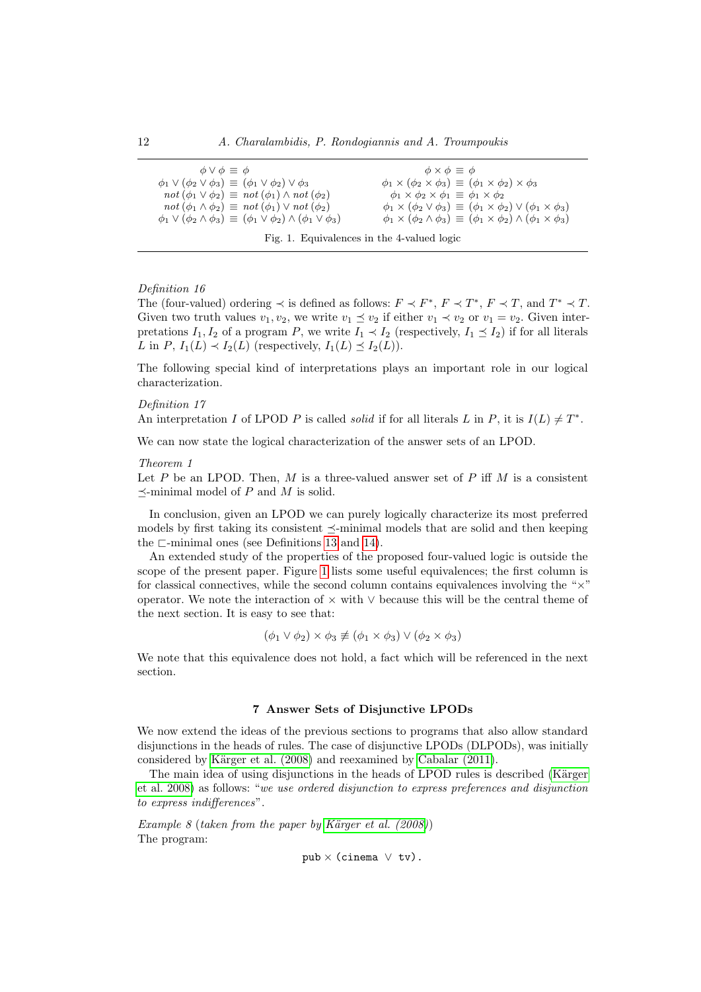| $\phi \vee \phi \equiv \phi$                                                                 | $\phi \times \phi \equiv \phi$                                                                     |
|----------------------------------------------------------------------------------------------|----------------------------------------------------------------------------------------------------|
| $\phi_1 \vee (\phi_2 \vee \phi_3) \equiv (\phi_1 \vee \phi_2) \vee \phi_3$                   | $\phi_1 \times (\phi_2 \times \phi_3) \equiv (\phi_1 \times \phi_2) \times \phi_3$                 |
| $not (\phi_1 \vee \phi_2) \equiv not (\phi_1) \wedge not (\phi_2)$                           | $\phi_1 \times \phi_2 \times \phi_1 \equiv \phi_1 \times \phi_2$                                   |
| $not (\phi_1 \wedge \phi_2) \equiv not (\phi_1) \vee not (\phi_2)$                           | $\phi_1 \times (\phi_2 \vee \phi_3) \equiv (\phi_1 \times \phi_2) \vee (\phi_1 \times \phi_3)$     |
| $\phi_1 \vee (\phi_2 \wedge \phi_3) \equiv (\phi_1 \vee \phi_2) \wedge (\phi_1 \vee \phi_3)$ | $\phi_1 \times (\phi_2 \wedge \phi_3) \equiv (\phi_1 \times \phi_2) \wedge (\phi_1 \times \phi_3)$ |
|                                                                                              |                                                                                                    |

<span id="page-11-0"></span>Fig. 1. Equivalences in the 4-valued logic

# Definition 16

The (four-valued) ordering  $\prec$  is defined as follows:  $F \prec F^*$ ,  $F \prec T^*$ ,  $F \prec T$ , and  $T^* \prec T$ . Given two truth values  $v_1, v_2$ , we write  $v_1 \preceq v_2$  if either  $v_1 \prec v_2$  or  $v_1 = v_2$ . Given interpretations  $I_1, I_2$  of a program P, we write  $I_1 \prec I_2$  (respectively,  $I_1 \preceq I_2$ ) if for all literals L in P,  $I_1(L) \prec I_2(L)$  (respectively,  $I_1(L) \preceq I_2(L)$ ).

The following special kind of interpretations plays an important role in our logical characterization.

#### Definition 17

An interpretation I of LPOD P is called *solid* if for all literals L in P, it is  $I(L) \neq T^*$ .

We can now state the logical characterization of the answer sets of an LPOD.

# Theorem 1

Let P be an LPOD. Then, M is a three-valued answer set of P iff M is a consistent  $\prec$ -minimal model of P and M is solid.

In conclusion, given an LPOD we can purely logically characterize its most preferred models by first taking its consistent  $\preceq$ -minimal models that are solid and then keeping the  $\sqsubset$ -minimal ones (see Definitions [13](#page-9-0) and [14\)](#page-9-1).

An extended study of the properties of the proposed four-valued logic is outside the scope of the present paper. Figure [1](#page-11-0) lists some useful equivalences; the first column is for classical connectives, while the second column contains equivalences involving the " $\times$ " operator. We note the interaction of × with ∨ because this will be the central theme of the next section. It is easy to see that:

$$
(\phi_1 \lor \phi_2) \times \phi_3 \not\equiv (\phi_1 \times \phi_3) \lor (\phi_2 \times \phi_3)
$$

We note that this equivalence does not hold, a fact which will be referenced in the next section.

# 7 Answer Sets of Disjunctive LPODs

<span id="page-11-2"></span>We now extend the ideas of the previous sections to programs that also allow standard disjunctions in the heads of rules. The case of disjunctive LPODs (DLPODs), was initially considered by Kärger et al. (2008) and reexamined by [Cabalar \(2011\)](#page-15-2).

The main idea of using disjunctions in the heads of LPOD rules is described (Kärger [et al.](#page-15-7) 2008) as follows: "we use ordered disjunction to express preferences and disjunction to express indifferences".

Example 8 (taken from the paper by Kärger et al.  $(2008)$ ) The program:

```
pub × (cinema ∨ tv).
```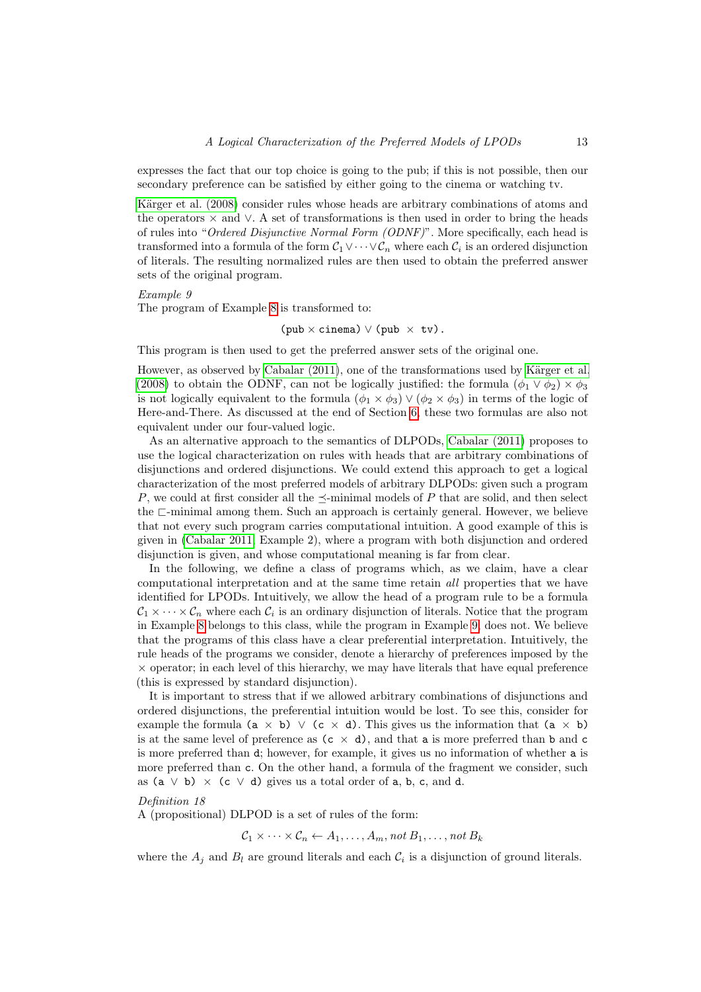expresses the fact that our top choice is going to the pub; if this is not possible, then our secondary preference can be satisfied by either going to the cinema or watching tv.

Kärger et al. (2008) consider rules whose heads are arbitrary combinations of atoms and the operators  $\times$  and  $\vee$ . A set of transformations is then used in order to bring the heads of rules into "Ordered Disjunctive Normal Form (ODNF)". More specifically, each head is transformed into a formula of the form  $C_1 \vee \cdots \vee C_n$  where each  $C_i$  is an ordered disjunction of literals. The resulting normalized rules are then used to obtain the preferred answer sets of the original program.

# Example 9

The program of Example [8](#page-11-1) is transformed to:

<span id="page-12-0"></span> $(\text{pub} \times \text{cinema}) \vee (\text{pub} \times \text{tv}).$ 

This program is then used to get the preferred answer sets of the original one.

However, as observed by [Cabalar \(2011\)](#page-15-2), one of the transformations used by Kärger et al. [\(2008\)](#page-15-7) to obtain the ODNF, can not be logically justified: the formula  $(\phi_1 \vee \phi_2) \times \phi_3$ is not logically equivalent to the formula  $(\phi_1 \times \phi_3) \vee (\phi_2 \times \phi_3)$  in terms of the logic of Here-and-There. As discussed at the end of Section [6,](#page-10-0) these two formulas are also not equivalent under our four-valued logic.

As an alternative approach to the semantics of DLPODs, [Cabalar \(2011\)](#page-15-2) proposes to use the logical characterization on rules with heads that are arbitrary combinations of disjunctions and ordered disjunctions. We could extend this approach to get a logical characterization of the most preferred models of arbitrary DLPODs: given such a program P, we could at first consider all the  $\prec$ -minimal models of P that are solid, and then select the  $\sqsubset$ -minimal among them. Such an approach is certainly general. However, we believe that not every such program carries computational intuition. A good example of this is given in [\(Cabalar 2011,](#page-15-2) Example 2), where a program with both disjunction and ordered disjunction is given, and whose computational meaning is far from clear.

In the following, we define a class of programs which, as we claim, have a clear computational interpretation and at the same time retain all properties that we have identified for LPODs. Intuitively, we allow the head of a program rule to be a formula  $\mathcal{C}_1 \times \cdots \times \mathcal{C}_n$  where each  $\mathcal{C}_i$  is an ordinary disjunction of literals. Notice that the program in Example [8](#page-11-1) belongs to this class, while the program in Example [9,](#page-12-0) does not. We believe that the programs of this class have a clear preferential interpretation. Intuitively, the rule heads of the programs we consider, denote a hierarchy of preferences imposed by the  $\times$  operator; in each level of this hierarchy, we may have literals that have equal preference (this is expressed by standard disjunction).

It is important to stress that if we allowed arbitrary combinations of disjunctions and ordered disjunctions, the preferential intuition would be lost. To see this, consider for example the formula ( $a \times b$ )  $\vee$  ( $c \times d$ ). This gives us the information that ( $a \times b$ ) is at the same level of preference as  $(c \times d)$ , and that a is more preferred than b and c is more preferred than d; however, for example, it gives us no information of whether a is more preferred than c. On the other hand, a formula of the fragment we consider, such as (a  $\vee$  b)  $\times$  (c  $\vee$  d) gives us a total order of a, b, c, and d.

# Definition 18

A (propositional) DLPOD is a set of rules of the form:

 $\mathcal{C}_1 \times \cdots \times \mathcal{C}_n \leftarrow A_1, \ldots, A_m$ , not  $B_1, \ldots, \text{not } B_k$ 

where the  $A_j$  and  $B_l$  are ground literals and each  $C_i$  is a disjunction of ground literals.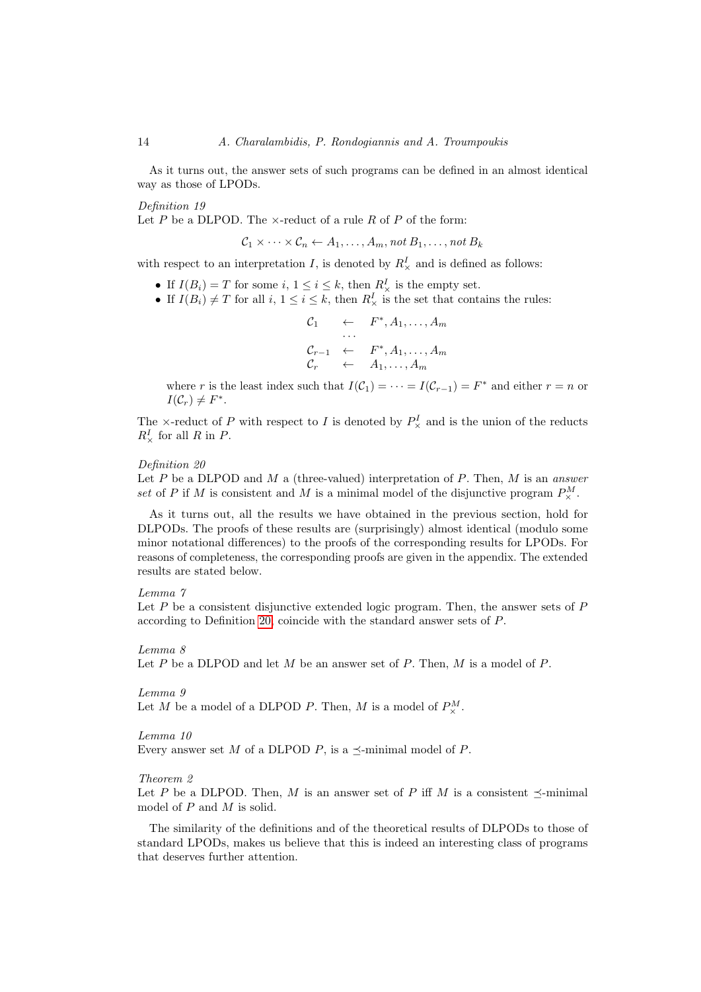As it turns out, the answer sets of such programs can be defined in an almost identical way as those of LPODs.

Definition 19

Let  $P$  be a DLPOD. The  $\times$ -reduct of a rule  $R$  of  $P$  of the form:

<span id="page-13-2"></span>
$$
C_1 \times \cdots \times C_n \leftarrow A_1, \ldots, A_m, \text{not } B_1, \ldots, \text{not } B_k
$$

with respect to an interpretation I, is denoted by  $R_{\times}^{I}$  and is defined as follows:

- If  $I(B_i) = T$  for some  $i, 1 \leq i \leq k$ , then  $R^I_{\times}$  is the empty set.
- If  $I(B_i) \neq T$  for all  $i, 1 \leq i \leq k$ , then  $R^I_{\times}$  is the set that contains the rules:

$$
C_1 \leftarrow F^*, A_1, \ldots, A_m
$$
  
\n
$$
\cdots
$$
  
\n
$$
C_{r-1} \leftarrow F^*, A_1, \ldots, A_m
$$
  
\n
$$
C_r \leftarrow A_1, \ldots, A_m
$$

where r is the least index such that  $I(\mathcal{C}_1) = \cdots = I(\mathcal{C}_{r-1}) = F^*$  and either  $r = n$  or  $I(\mathcal{C}_r) \neq F^*$ .

The  $\times$ -reduct of P with respect to I is denoted by  $P^I_{\times}$  and is the union of the reducts  $R^I_\times$  for all R in P.

#### <span id="page-13-0"></span>Definition 20

Let P be a DLPOD and M a (three-valued) interpretation of P. Then, M is an answer set of P if M is consistent and M is a minimal model of the disjunctive program  $P^M_{\times}$ .

As it turns out, all the results we have obtained in the previous section, hold for DLPODs. The proofs of these results are (surprisingly) almost identical (modulo some minor notational differences) to the proofs of the corresponding results for LPODs. For reasons of completeness, the corresponding proofs are given in the appendix. The extended results are stated below.

#### <span id="page-13-1"></span>Lemma 7

Let  $P$  be a consistent disjunctive extended logic program. Then, the answer sets of  $P$ according to Definition [20,](#page-13-0) coincide with the standard answer sets of P.

#### <span id="page-13-3"></span>Lemma 8

Let P be a DLPOD and let M be an answer set of P. Then, M is a model of P.

#### <span id="page-13-4"></span>Lemma 9

Let M be a model of a DLPOD P. Then, M is a model of  $P^M_\times$ .

#### <span id="page-13-5"></span>Lemma 10

Every answer set M of a DLPOD P, is a  $\preceq$ -minimal model of P.

### <span id="page-13-6"></span>Theorem 2

Let P be a DLPOD. Then, M is an answer set of P iff M is a consistent  $\preceq$ -minimal model of P and M is solid.

The similarity of the definitions and of the theoretical results of DLPODs to those of standard LPODs, makes us believe that this is indeed an interesting class of programs that deserves further attention.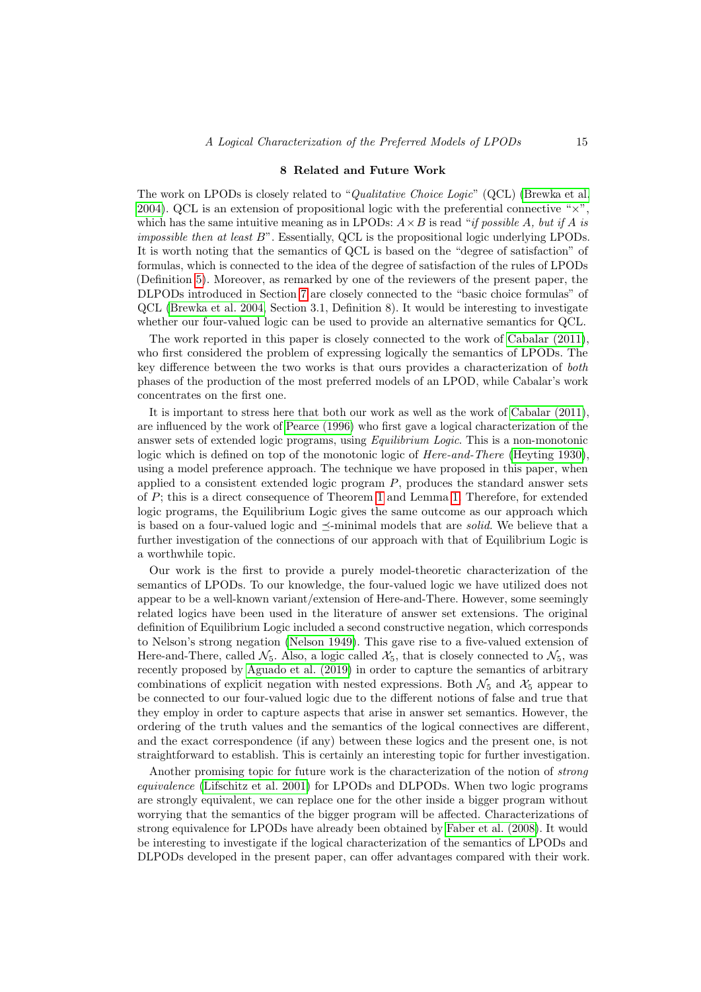## 8 Related and Future Work

<span id="page-14-0"></span>The work on LPODs is closely related to "Qualitative Choice Logic" (QCL) [\(Brewka et al.](#page-15-8) [2004\)](#page-15-8). QCL is an extension of propositional logic with the preferential connective " $\times$ ", which has the same intuitive meaning as in LPODs:  $A \times B$  is read "if possible A, but if A is impossible then at least B". Essentially, QCL is the propositional logic underlying LPODs. It is worth noting that the semantics of QCL is based on the "degree of satisfaction" of formulas, which is connected to the idea of the degree of satisfaction of the rules of LPODs (Definition [5\)](#page-2-2). Moreover, as remarked by one of the reviewers of the present paper, the DLPODs introduced in Section [7](#page-11-2) are closely connected to the "basic choice formulas" of QCL [\(Brewka et al.](#page-15-8) 2004, Section 3.1, Definition 8). It would be interesting to investigate whether our four-valued logic can be used to provide an alternative semantics for QCL.

The work reported in this paper is closely connected to the work of [Cabalar \(2011\)](#page-15-2), who first considered the problem of expressing logically the semantics of LPODs. The key difference between the two works is that ours provides a characterization of both phases of the production of the most preferred models of an LPOD, while Cabalar's work concentrates on the first one.

It is important to stress here that both our work as well as the work of [Cabalar \(2011\)](#page-15-2), are influenced by the work of [Pearce \(1996\)](#page-15-3) who first gave a logical characterization of the answer sets of extended logic programs, using Equilibrium Logic. This is a non-monotonic logic which is defined on top of the monotonic logic of Here-and-There [\(Heyting 1930\)](#page-15-9), using a model preference approach. The technique we have proposed in this paper, when applied to a consistent extended logic program  $P$ , produces the standard answer sets of P; this is a direct consequence of Theorem [1](#page-11-0) and Lemma [1.](#page-8-1) Therefore, for extended logic programs, the Equilibrium Logic gives the same outcome as our approach which is based on a four-valued logic and  $\prec$ -minimal models that are *solid*. We believe that a further investigation of the connections of our approach with that of Equilibrium Logic is a worthwhile topic.

Our work is the first to provide a purely model-theoretic characterization of the semantics of LPODs. To our knowledge, the four-valued logic we have utilized does not appear to be a well-known variant/extension of Here-and-There. However, some seemingly related logics have been used in the literature of answer set extensions. The original definition of Equilibrium Logic included a second constructive negation, which corresponds to Nelson's strong negation [\(Nelson 1949\)](#page-15-10). This gave rise to a five-valued extension of Here-and-There, called  $\mathcal{N}_5$ . Also, a logic called  $\mathcal{X}_5$ , that is closely connected to  $\mathcal{N}_5$ , was recently proposed by [Aguado et al.](#page-15-11) (2019) in order to capture the semantics of arbitrary combinations of explicit negation with nested expressions. Both  $\mathcal{N}_5$  and  $\mathcal{X}_5$  appear to be connected to our four-valued logic due to the different notions of false and true that they employ in order to capture aspects that arise in answer set semantics. However, the ordering of the truth values and the semantics of the logical connectives are different, and the exact correspondence (if any) between these logics and the present one, is not straightforward to establish. This is certainly an interesting topic for further investigation.

Another promising topic for future work is the characterization of the notion of strong equivalence [\(Lifschitz et al.](#page-15-12) 2001) for LPODs and DLPODs. When two logic programs are strongly equivalent, we can replace one for the other inside a bigger program without worrying that the semantics of the bigger program will be affected. Characterizations of strong equivalence for LPODs have already been obtained by [Faber et al.](#page-15-13) (2008). It would be interesting to investigate if the logical characterization of the semantics of LPODs and DLPODs developed in the present paper, can offer advantages compared with their work.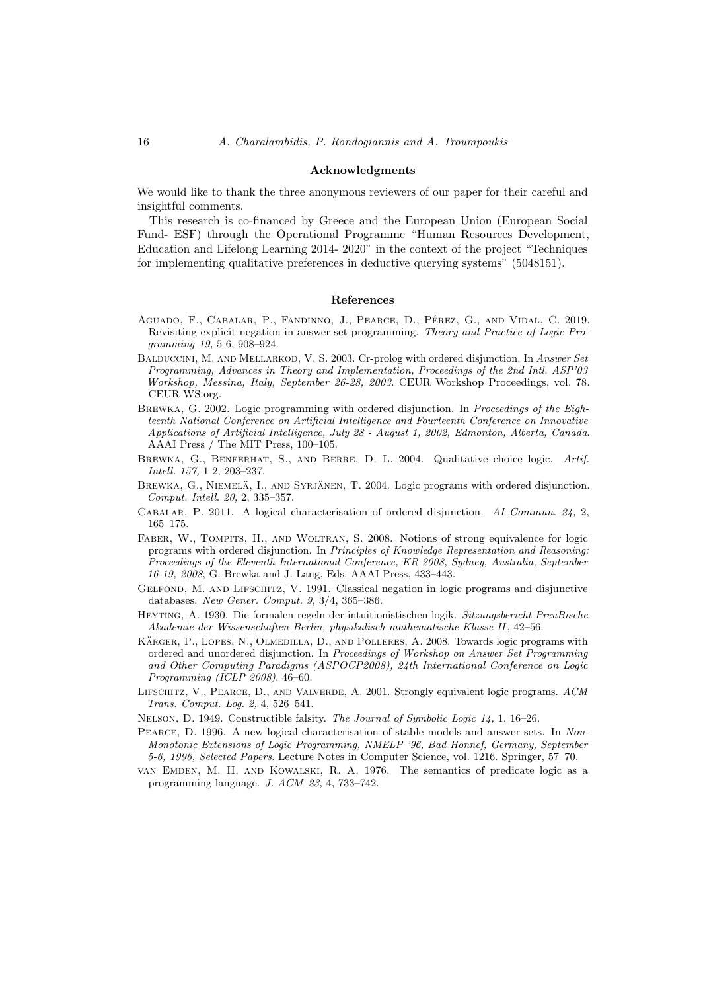#### Acknowledgments

We would like to thank the three anonymous reviewers of our paper for their careful and insightful comments.

This research is co-financed by Greece and the European Union (European Social Fund- ESF) through the Operational Programme "Human Resources Development, Education and Lifelong Learning 2014- 2020" in the context of the project "Techniques for implementing qualitative preferences in deductive querying systems" (5048151).

#### References

- <span id="page-15-11"></span>AGUADO, F., CABALAR, P., FANDINNO, J., PEARCE, D., PÉREZ, G., AND VIDAL, C. 2019. Revisiting explicit negation in answer set programming. Theory and Practice of Logic Programming 19, 5-6, 908–924.
- <span id="page-15-6"></span>BALDUCCINI, M. AND MELLARKOD, V. S. 2003. Cr-prolog with ordered disjunction. In Answer Set Programming, Advances in Theory and Implementation, Proceedings of the 2nd Intl. ASP'03 Workshop, Messina, Italy, September 26-28, 2003. CEUR Workshop Proceedings, vol. 78. CEUR-WS.org.
- <span id="page-15-0"></span>BREWKA, G. 2002. Logic programming with ordered disjunction. In Proceedings of the Eighteenth National Conference on Artificial Intelligence and Fourteenth Conference on Innovative Applications of Artificial Intelligence, July 28 - August 1, 2002, Edmonton, Alberta, Canada. AAAI Press / The MIT Press, 100–105.
- <span id="page-15-8"></span>BREWKA, G., BENFERHAT, S., AND BERRE, D. L. 2004. Qualitative choice logic. Artif. Intell. 157, 1-2, 203–237.
- <span id="page-15-1"></span>BREWKA, G., NIEMELÄ, I., AND SYRJÄNEN, T. 2004. Logic programs with ordered disjunction. Comput. Intell. 20, 2, 335–357.
- <span id="page-15-2"></span>Cabalar, P. 2011. A logical characterisation of ordered disjunction. AI Commun. 24, 2, 165–175.
- <span id="page-15-13"></span>FABER, W., TOMPITS, H., AND WOLTRAN, S. 2008. Notions of strong equivalence for logic programs with ordered disjunction. In Principles of Knowledge Representation and Reasoning: Proceedings of the Eleventh International Conference, KR 2008, Sydney, Australia, September 16-19, 2008, G. Brewka and J. Lang, Eds. AAAI Press, 433–443.
- <span id="page-15-4"></span>GELFOND, M. AND LIFSCHITZ, V. 1991. Classical negation in logic programs and disjunctive databases. New Gener. Comput. 9, 3/4, 365–386.
- <span id="page-15-9"></span>Heyting, A. 1930. Die formalen regeln der intuitionistischen logik. Sitzungsbericht PreuBische Akademie der Wissenschaften Berlin, physikalisch-mathematische Klasse II, 42–56.
- <span id="page-15-7"></span>KÄRGER, P., LOPES, N., OLMEDILLA, D., AND POLLERES, A. 2008. Towards logic programs with ordered and unordered disjunction. In Proceedings of Workshop on Answer Set Programming and Other Computing Paradigms (ASPOCP2008), 24th International Conference on Logic Programming (ICLP 2008). 46–60.
- <span id="page-15-12"></span>Lifschitz, V., Pearce, D., and Valverde, A. 2001. Strongly equivalent logic programs. ACM Trans. Comput. Log. 2, 4, 526–541.
- <span id="page-15-10"></span>Nelson, D. 1949. Constructible falsity. The Journal of Symbolic Logic 14, 1, 16–26.
- <span id="page-15-3"></span>Pearce, D. 1996. A new logical characterisation of stable models and answer sets. In Non-Monotonic Extensions of Logic Programming, NMELP '96, Bad Honnef, Germany, September 5-6, 1996, Selected Papers. Lecture Notes in Computer Science, vol. 1216. Springer, 57–70.
- <span id="page-15-5"></span>van Emden, M. H. and Kowalski, R. A. 1976. The semantics of predicate logic as a programming language. J. ACM 23, 4, 733–742.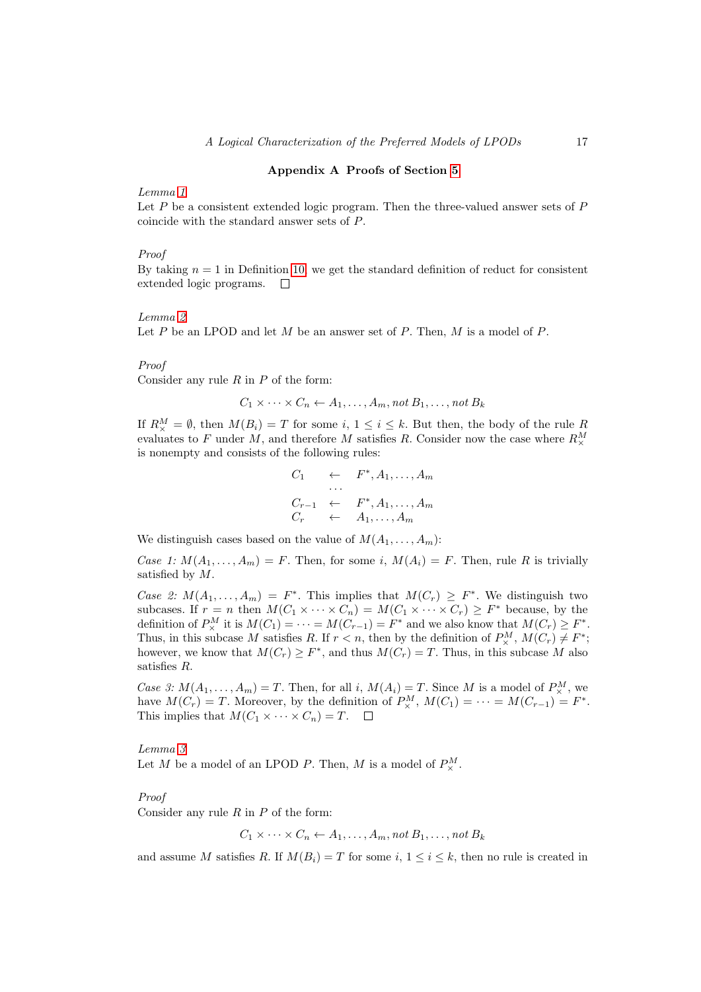## Appendix A Proofs of Section [5](#page-6-0)

# Lemma [1](#page-8-1)

Let  $P$  be a consistent extended logic program. Then the three-valued answer sets of  $P$ coincide with the standard answer sets of P.

# Proof

By taking  $n = 1$  in Definition [10,](#page-7-2) we get the standard definition of reduct for consistent extended logic programs.  $\Box$ 

# Lemma [2](#page-8-2)

Let P be an LPOD and let M be an answer set of P. Then, M is a model of P.

#### Proof

Consider any rule  $R$  in  $P$  of the form:

 $C_1 \times \cdots \times C_n \leftarrow A_1, \ldots, A_m$ , not  $B_1, \ldots, n$ ot  $B_k$ 

If  $R_{\times}^M = \emptyset$ , then  $M(B_i) = T$  for some  $i, 1 \leq i \leq k$ . But then, the body of the rule R evaluates to F under M, and therefore M satisfies R. Consider now the case where  $R^M_\times$ is nonempty and consists of the following rules:

$$
C_1 \leftarrow F^*, A_1, \dots, A_m
$$
  
\n
$$
C_{r-1} \leftarrow F^*, A_1, \dots, A_m
$$
  
\n
$$
C_r \leftarrow A_1, \dots, A_m
$$

We distinguish cases based on the value of  $M(A_1, \ldots, A_m)$ :

Case 1:  $M(A_1, \ldots, A_m) = F$ . Then, for some i,  $M(A_i) = F$ . Then, rule R is trivially satisfied by M.

Case 2:  $M(A_1,\ldots,A_m) = F^*$ . This implies that  $M(C_r) \geq F^*$ . We distinguish two subcases. If  $r = n$  then  $M(C_1 \times \cdots \times C_n) = M(C_1 \times \cdots \times C_r) \geq F^*$  because, by the definition of  $P^M_\times$  it is  $M(C_1) = \cdots = M(C_{r-1}) = F^*$  and we also know that  $M(C_r) \geq F^*$ . Thus, in this subcase M satisfies R. If  $r < n$ , then by the definition of  $P^M_{\times}$ ,  $M(C_r) \neq F^*$ ; however, we know that  $M(C_r) \geq F^*$ , and thus  $M(C_r) = T$ . Thus, in this subcase M also satisfies R.

Case 3:  $M(A_1, \ldots, A_m) = T$ . Then, for all i,  $M(A_i) = T$ . Since M is a model of  $P_{\times}^M$ , we have  $M(C_r) = T$ . Moreover, by the definition of  $P^M_\times$ ,  $M(C_1) = \cdots = M(C_{r-1}) = F^*$ . This implies that  $M(C_1 \times \cdots \times C_n) = T$ .  $\Box$ 

# Lemma [3](#page-8-3) Let M be a model of an LPOD P. Then, M is a model of  $P^M_{\times}$ .

#### Proof

Consider any rule  $R$  in  $P$  of the form:

$$
C_1 \times \cdots \times C_n \leftarrow A_1, \ldots, A_m, \text{not } B_1, \ldots, \text{not } B_k
$$

and assume M satisfies R. If  $M(B_i) = T$  for some i,  $1 \le i \le k$ , then no rule is created in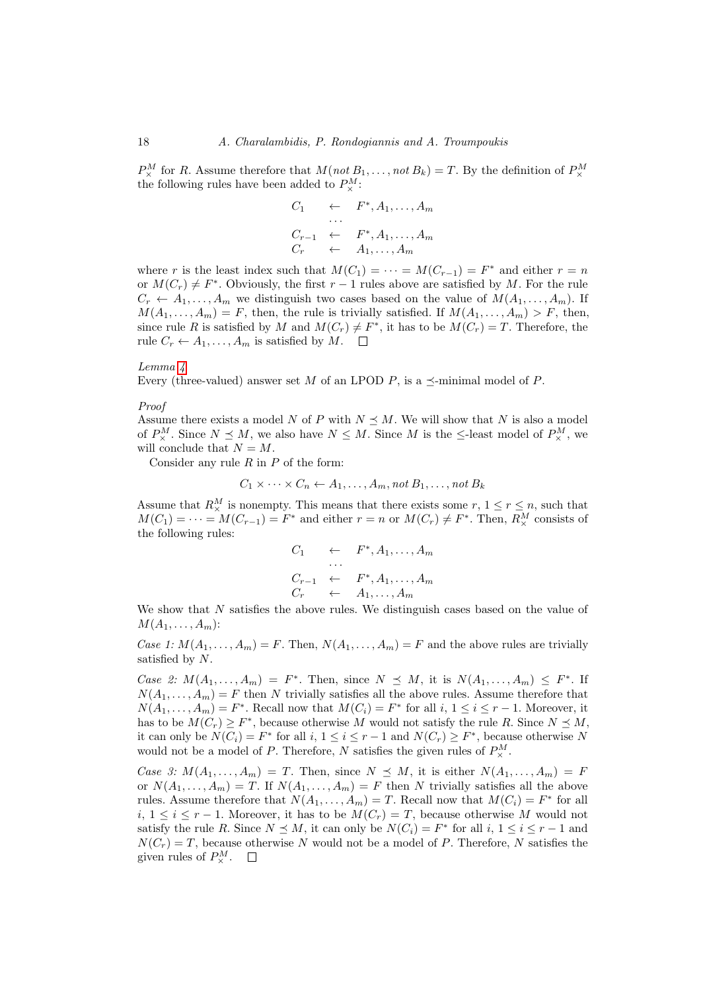$P_{\times}^{M}$  for R. Assume therefore that  $M(not B_1, \ldots, not B_k) = T$ . By the definition of  $P_{\times}^{M}$ the following rules have been added to  $P^M_{\times}$ :

$$
C_1 \leftarrow F^*, A_1, \dots, A_m
$$
  
\n
$$
C_{r-1} \leftarrow F^*, A_1, \dots, A_m
$$
  
\n
$$
C_r \leftarrow A_1, \dots, A_m
$$

where r is the least index such that  $M(C_1) = \cdots = M(C_{r-1}) = F^*$  and either  $r = n$ or  $M(C_r) \neq F^*$ . Obviously, the first  $r-1$  rules above are satisfied by M. For the rule  $C_r \leftarrow A_1, \ldots, A_m$  we distinguish two cases based on the value of  $M(A_1, \ldots, A_m)$ . If  $M(A_1, \ldots, A_m) = F$ , then, the rule is trivially satisfied. If  $M(A_1, \ldots, A_m) > F$ , then, since rule R is satisfied by M and  $M(C_r) \neq F^*$ , it has to be  $M(C_r) = T$ . Therefore, the rule  $C_r \leftarrow A_1, \ldots, A_m$  is satisfied by  $M$ .  $\Box$ 

#### Lemma [4](#page-8-4)

Every (three-valued) answer set M of an LPOD P, is a  $\preceq$ -minimal model of P.

#### Proof

Assume there exists a model N of P with  $N \leq M$ . We will show that N is also a model of  $P_{\times}^{M}$ . Since  $N \leq M$ , we also have  $N \leq M$ . Since M is the  $\leq$ -least model of  $P_{\times}^{M}$ , we will conclude that  $N = M$ .

Consider any rule  $R$  in  $P$  of the form:

$$
C_1 \times \cdots \times C_n \leftarrow A_1, \ldots, A_m, \text{not } B_1, \ldots, \text{not } B_k
$$

Assume that  $R^M_\times$  is nonempty. This means that there exists some  $r, 1 \le r \le n$ , such that  $M(C_1) = \cdots = M(C_{r-1}) = F^*$  and either  $r = n$  or  $M(C_r) \neq F^*$ . Then,  $R^M_\times$  consists of the following rules:

$$
C_1 \leftarrow F^*, A_1, \dots, A_m
$$
  
\n
$$
C_{r-1} \leftarrow F^*, A_1, \dots, A_m
$$
  
\n
$$
C_r \leftarrow A_1, \dots, A_m
$$

We show that N satisfies the above rules. We distinguish cases based on the value of  $M(A_1,\ldots,A_m)$ :

Case 1:  $M(A_1, \ldots, A_m) = F$ . Then,  $N(A_1, \ldots, A_m) = F$  and the above rules are trivially satisfied by N.

Case 2:  $M(A_1,\ldots,A_m) = F^*$ . Then, since  $N \preceq M$ , it is  $N(A_1,\ldots,A_m) \preceq F^*$ . If  $N(A_1, \ldots, A_m) = F$  then N trivially satisfies all the above rules. Assume therefore that  $N(A_1, \ldots, A_m) = F^*$ . Recall now that  $M(C_i) = F^*$  for all  $i, 1 \le i \le r - 1$ . Moreover, it has to be  $M(C_r) \geq F^*$ , because otherwise M would not satisfy the rule R. Since  $N \preceq M$ , it can only be  $N(C_i) = F^*$  for all  $i, 1 \le i \le r-1$  and  $N(C_r) \ge F^*$ , because otherwise N would not be a model of P. Therefore, N satisfies the given rules of  $P^M_{\times}$ .

Case 3:  $M(A_1,\ldots,A_m) = T$ . Then, since  $N \preceq M$ , it is either  $N(A_1,\ldots,A_m) = F$ or  $N(A_1, \ldots, A_m) = T$ . If  $N(A_1, \ldots, A_m) = F$  then N trivially satisfies all the above rules. Assume therefore that  $N(A_1, \ldots, A_m) = T$ . Recall now that  $M(C_i) = F^*$  for all  $i, 1 ≤ i ≤ r - 1$ . Moreover, it has to be  $M(C_r) = T$ , because otherwise M would not satisfy the rule R. Since  $N \leq M$ , it can only be  $N(C_i) = F^*$  for all  $i, 1 \leq i \leq r-1$  and  $N(C_r) = T$ , because otherwise N would not be a model of P. Therefore, N satisfies the given rules of  $P^M_{\times}$ .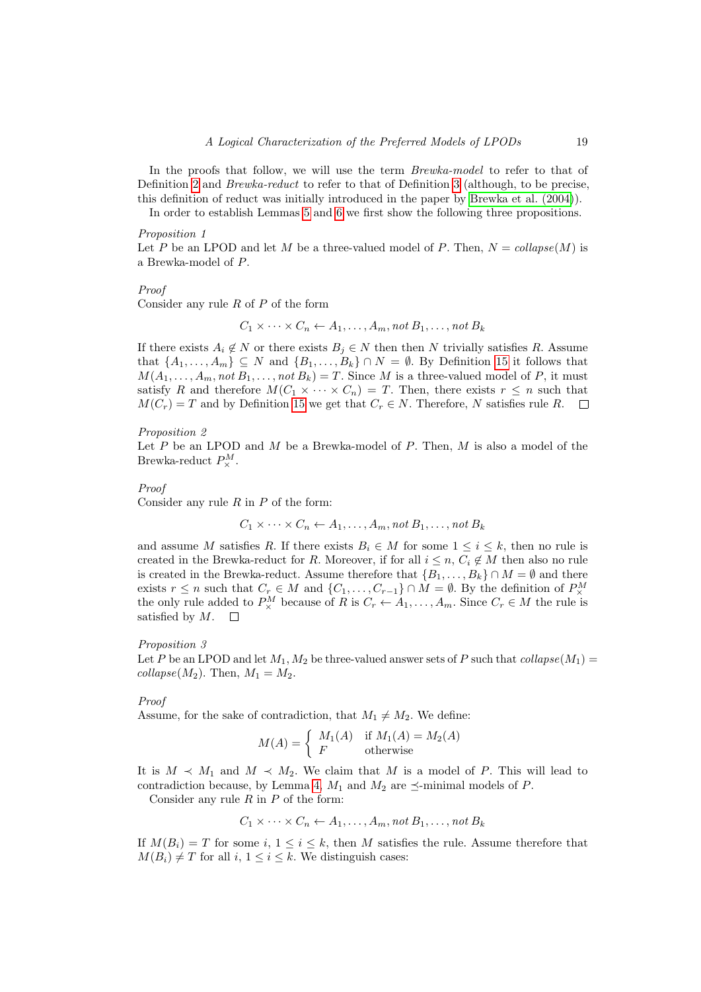In the proofs that follow, we will use the term *Brewka-model* to refer to that of Definition [2](#page-2-1) and *Brewka-reduct* to refer to that of Definition [3](#page-2-3) (although, to be precise, this definition of reduct was initially introduced in the paper by [Brewka et al. \(2004\)](#page-15-1)).

In order to establish Lemmas [5](#page-10-1) and [6](#page-10-2) we first show the following three propositions.

#### Proposition 1

Let P be an LPOD and let M be a three-valued model of P. Then,  $N = collapse(M)$  is a Brewka-model of P.

#### Proof

Consider any rule  $R$  of  $P$  of the form

<span id="page-18-0"></span> $C_1 \times \cdots \times C_n \leftarrow A_1, \ldots, A_m$ , not  $B_1, \ldots, n$ ot  $B_k$ 

If there exists  $A_i \notin N$  or there exists  $B_j \in N$  then then N trivially satisfies R. Assume that  $\{A_1, \ldots, A_m\} \subseteq N$  and  $\{B_1, \ldots, B_k\} \cap N = \emptyset$ . By Definition [15](#page-10-3) it follows that  $M(A_1, \ldots, A_m, \text{not } B_1, \ldots, \text{not } B_k) = T$ . Since M is a three-valued model of P, it must satisfy R and therefore  $M(C_1 \times \cdots \times C_n) = T$ . Then, there exists  $r \leq n$  such that  $M(C_r) = T$  and by Definition [15](#page-10-3) we get that  $C_r \in N$ . Therefore, N satisfies rule R.  $\overline{\phantom{a}}$ 

# <span id="page-18-1"></span>Proposition 2

Let  $P$  be an LPOD and  $M$  be a Brewka-model of  $P$ . Then,  $M$  is also a model of the Brewka-reduct  $P^M_\times$ .

#### Proof

Consider any rule  $R$  in  $P$  of the form:

 $C_1 \times \cdots \times C_n \leftarrow A_1, \ldots, A_m$ , not  $B_1, \ldots, n$ ot  $B_k$ 

and assume M satisfies R. If there exists  $B_i \in M$  for some  $1 \leq i \leq k$ , then no rule is created in the Brewka-reduct for R. Moreover, if for all  $i \leq n, C_i \notin M$  then also no rule is created in the Brewka-reduct. Assume therefore that  ${B_1, \ldots, B_k} \cap M = \emptyset$  and there exists  $r \leq n$  such that  $C_r \in M$  and  $\{C_1, \ldots, C_{r-1}\} \cap M = \emptyset$ . By the definition of  $P^M_{\times}$ the only rule added to  $P_{\times}^M$  because of R is  $C_r \leftarrow A_1, \ldots, A_m$ . Since  $C_r \in M$  the rule is satisfied by M.  $\Box$ 

# <span id="page-18-2"></span>Proposition 3

Let P be an LPOD and let  $M_1, M_2$  be three-valued answer sets of P such that collapse( $M_1$ ) =  $collapse(M_2)$ . Then,  $M_1 = M_2$ .

# Proof

Assume, for the sake of contradiction, that  $M_1 \neq M_2$ . We define:

$$
M(A) = \begin{cases} M_1(A) & \text{if } M_1(A) = M_2(A) \\ F & \text{otherwise} \end{cases}
$$

It is  $M \prec M_1$  and  $M \prec M_2$ . We claim that M is a model of P. This will lead to contradiction because, by Lemma [4,](#page-8-4)  $M_1$  and  $M_2$  are  $\preceq$ -minimal models of P.

Consider any rule  $R$  in  $P$  of the form:

$$
C_1 \times \cdots \times C_n \leftarrow A_1, \ldots, A_m, \text{not } B_1, \ldots, \text{not } B_k
$$

If  $M(B_i) = T$  for some i,  $1 \leq i \leq k$ , then M satisfies the rule. Assume therefore that  $M(B_i) \neq T$  for all  $i, 1 \leq i \leq k$ . We distinguish cases: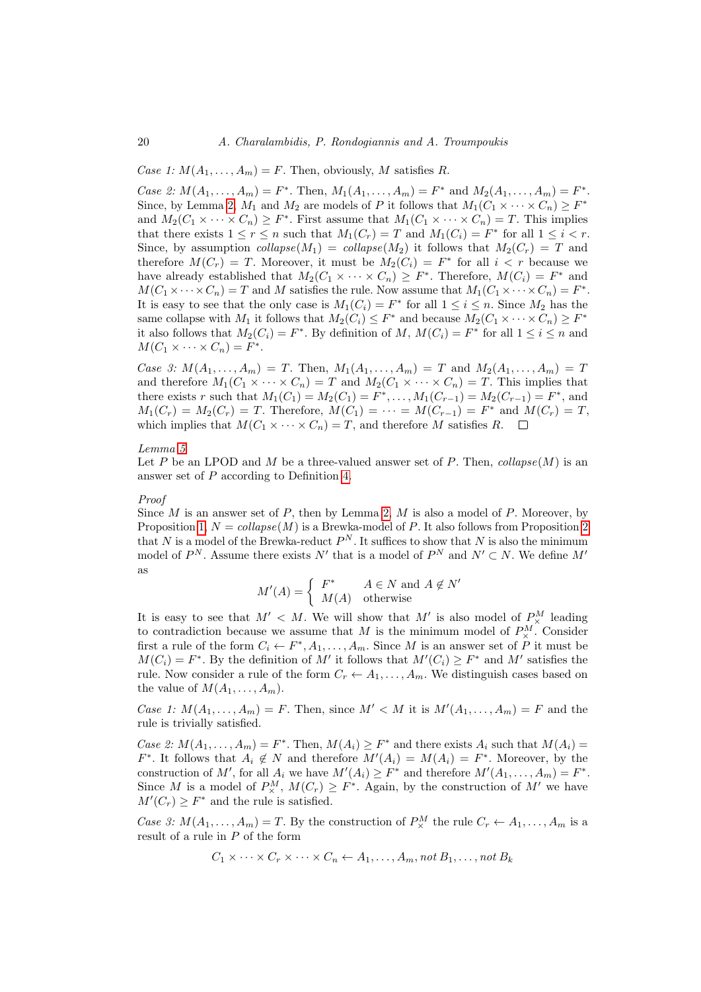Case 1:  $M(A_1, \ldots, A_m) = F$ . Then, obviously, M satisfies R.

Case 2:  $M(A_1, ..., A_m) = F^*$ . Then,  $M_1(A_1, ..., A_m) = F^*$  and  $M_2(A_1, ..., A_m) = F^*$ . Since, by Lemma [2,](#page-8-2)  $M_1$  and  $M_2$  are models of P it follows that  $M_1(C_1 \times \cdots \times C_n) \geq F^*$ and  $M_2(C_1 \times \cdots \times C_n) \geq F^*$ . First assume that  $M_1(C_1 \times \cdots \times C_n) = T$ . This implies that there exists  $1 \le r \le n$  such that  $M_1(C_r) = T$  and  $M_1(C_i) = F^*$  for all  $1 \le i < r$ . Since, by assumption collapse( $M_1$ ) = collapse( $M_2$ ) it follows that  $M_2(C_r) = T$  and therefore  $M(C_r) = T$ . Moreover, it must be  $M_2(C_i) = F^*$  for all  $i < r$  because we have already established that  $M_2(C_1 \times \cdots \times C_n) \geq F^*$ . Therefore,  $M(C_i) = F^*$  and  $M(C_1 \times \cdots \times C_n) = T$  and M satisfies the rule. Now assume that  $M_1(C_1 \times \cdots \times C_n) = F^*$ . It is easy to see that the only case is  $M_1(C_i) = F^*$  for all  $1 \le i \le n$ . Since  $M_2$  has the same collapse with  $M_1$  it follows that  $M_2(C_i) \leq F^*$  and because  $M_2(C_1 \times \cdots \times C_n) \geq F^*$ it also follows that  $M_2(C_i) = F^*$ . By definition of M,  $M(C_i) = F^*$  for all  $1 \le i \le n$  and  $M(C_1 \times \cdots \times C_n) = F^*$ .

Case 3:  $M(A_1,...,A_m) = T$ . Then,  $M_1(A_1,...,A_m) = T$  and  $M_2(A_1,...,A_m) = T$ and therefore  $M_1(C_1 \times \cdots \times C_n) = T$  and  $M_2(C_1 \times \cdots \times C_n) = T$ . This implies that there exists r such that  $M_1(C_1) = M_2(C_1) = F^*, \ldots, M_1(C_{r-1}) = M_2(C_{r-1}) = F^*$ , and  $M_1(C_r) = M_2(C_r) = T$ . Therefore,  $M(C_1) = \cdots = M(C_{r-1}) = F^*$  and  $M(C_r) = T$ , which implies that  $M(C_1 \times \cdots \times C_n) = T$ , and therefore M satisfies R.  $\square$ 

#### Lemma [5](#page-10-1)

Let P be an LPOD and M be a three-valued answer set of P. Then,  $collapse(M)$  is an answer set of P according to Definition [4.](#page-2-4)

# Proof

Since  $M$  is an answer set of  $P$ , then by Lemma [2,](#page-8-2)  $M$  is also a model of  $P$ . Moreover, by Proposition [1,](#page-18-0)  $N = collapse(M)$  is a Brewka-model of P. It also follows from Proposition [2](#page-18-1) that N is a model of the Brewka-reduct  $P<sup>N</sup>$ . It suffices to show that N is also the minimum model of  $P^N$ . Assume there exists N' that is a model of  $P^N$  and  $N' \subset N$ . We define M' as

$$
M'(A) = \begin{cases} F^* & A \in N \text{ and } A \notin N' \\ M(A) & \text{otherwise} \end{cases}
$$

It is easy to see that  $M' < M$ . We will show that M' is also model of  $P^M_\times$  leading to contradiction because we assume that M is the minimum model of  $P_{\times}^M$ . Consider first a rule of the form  $C_i \leftarrow F^*, A_1, \ldots, A_m$ . Since M is an answer set of P it must be  $M(C_i) = F^*$ . By the definition of M' it follows that  $M'(C_i) \geq F^*$  and M' satisfies the rule. Now consider a rule of the form  $C_r \leftarrow A_1, \ldots, A_m$ . We distinguish cases based on the value of  $M(A_1, \ldots, A_m)$ .

Case 1:  $M(A_1,\ldots,A_m) = F$ . Then, since  $M' < M$  it is  $M'(A_1,\ldots,A_m) = F$  and the rule is trivially satisfied.

Case 2:  $M(A_1, \ldots, A_m) = F^*$ . Then,  $M(A_i) \geq F^*$  and there exists  $A_i$  such that  $M(A_i) =$  $F^*$ . It follows that  $A_i \notin N$  and therefore  $M'(A_i) = M(A_i) = F^*$ . Moreover, by the construction of M', for all  $A_i$  we have  $M'(A_i) \geq F^*$  and therefore  $M'(A_1, \ldots, A_m) = F^*$ . Since M is a model of  $P^M_\times$ ,  $M(C_r) \geq F^*$ . Again, by the construction of M' we have  $M'(C_r) \geq F^*$  and the rule is satisfied.

Case 3:  $M(A_1, ..., A_m) = T$ . By the construction of  $P_{\times}^M$  the rule  $C_r \leftarrow A_1, ..., A_m$  is a result of a rule in P of the form

$$
C_1 \times \cdots \times C_r \times \cdots \times C_n \leftarrow A_1, \ldots, A_m
$$
, not  $B_1, \ldots$ , not  $B_k$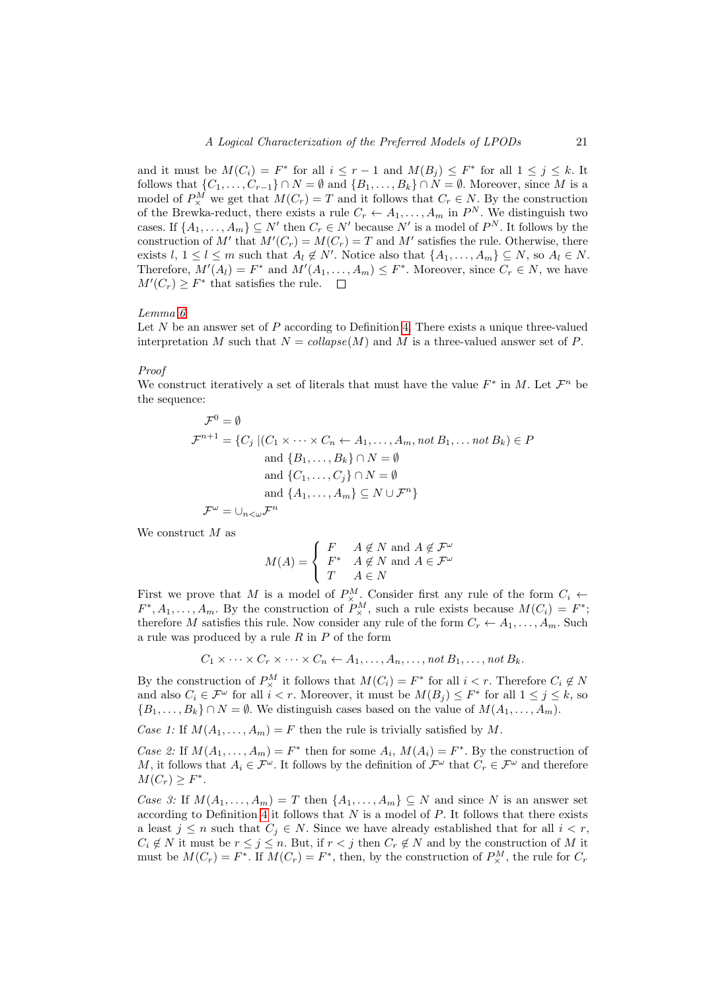and it must be  $M(C_i) = F^*$  for all  $i \leq r - 1$  and  $M(B_j) \leq F^*$  for all  $1 \leq j \leq k$ . It follows that  $\{C_1, \ldots, C_{r-1}\} \cap N = \emptyset$  and  $\{B_1, \ldots, B_k\} \cap N = \emptyset$ . Moreover, since M is a model of  $P_{\times}^{M}$  we get that  $M(C_{r}) = T$  and it follows that  $C_{r} \in N$ . By the construction of the Brewka-reduct, there exists a rule  $C_r \leftarrow A_1, \ldots, A_m$  in  $P^N$ . We distinguish two cases. If  $\{A_1, \ldots, A_m\} \subseteq N'$  then  $C_r \in N'$  because  $N'$  is a model of  $P^N$ . It follows by the construction of M' that  $M'(C_r) = M(C_r) = T$  and M' satisfies the rule. Otherwise, there exists  $l, 1 \leq l \leq m$  such that  $A_l \notin N'$ . Notice also that  $\{A_1, \ldots, A_m\} \subseteq N$ , so  $A_l \in N$ . Therefore,  $M'(A_l) = F^*$  and  $M'(A_1, \ldots, A_m) \leq F^*$ . Moreover, since  $C_r \in N$ , we have  $M'(C_r) \geq F^*$  that satisfies the rule.

#### Lemma [6](#page-10-2)

Let  $N$  be an answer set of  $P$  according to Definition [4.](#page-2-4) There exists a unique three-valued interpretation M such that  $N = collapse(M)$  and M is a three-valued answer set of P.

# Proof

We construct iteratively a set of literals that must have the value  $F^*$  in M. Let  $\mathcal{F}^n$  be the sequence:

$$
\mathcal{F}^0 = \emptyset
$$
  
\n
$$
\mathcal{F}^{n+1} = \{C_j \mid (C_1 \times \cdots \times C_n \leftarrow A_1, \dots, A_m, \text{not } B_1, \dots \text{not } B_k) \in P
$$
  
\nand  $\{B_1, \dots, B_k\} \cap N = \emptyset$   
\nand  $\{C_1, \dots, C_j\} \cap N = \emptyset$   
\nand  $\{A_1, \dots, A_m\} \subseteq N \cup \mathcal{F}^n\}$   
\n
$$
\mathcal{F}^{\omega} = \bigcup_{n < \omega} \mathcal{F}^n
$$

We construct M as

$$
M(A) = \begin{cases} F & A \notin N \text{ and } A \notin \mathcal{F}^{\omega} \\ F^* & A \notin N \text{ and } A \in \mathcal{F}^{\omega} \\ T & A \in N \end{cases}
$$

First we prove that M is a model of  $P_{\times}^{M}$ . Consider first any rule of the form  $C_i \leftarrow$  $F^*, A_1, \ldots, A_m$ . By the construction of  $P^M_\times$ , such a rule exists because  $M(C_i) = F^*$ ; therefore M satisfies this rule. Now consider any rule of the form  $C_r \leftarrow A_1, \ldots, A_m$ . Such a rule was produced by a rule  $R$  in  $P$  of the form

$$
C_1 \times \cdots \times C_r \times \cdots \times C_n \leftarrow A_1, \ldots, A_n, \ldots, \text{not } B_1, \ldots, \text{not } B_k.
$$

By the construction of  $P^M_{\times}$  it follows that  $M(C_i) = F^*$  for all  $i < r$ . Therefore  $C_i \notin N$ and also  $C_i \in \mathcal{F}^\omega$  for all  $i < r$ . Moreover, it must be  $M(B_j) \leq F^*$  for all  $1 \leq j \leq k$ , so  ${B_1, \ldots, B_k} \cap N = \emptyset$ . We distinguish cases based on the value of  $M(A_1, \ldots, A_m)$ .

Case 1: If  $M(A_1, \ldots, A_m) = F$  then the rule is trivially satisfied by M.

Case 2: If  $M(A_1,\ldots,A_m)=F^*$  then for some  $A_i$ ,  $M(A_i)=F^*$ . By the construction of M, it follows that  $A_i \in \mathcal{F}^\omega$ . It follows by the definition of  $\mathcal{F}^\omega$  that  $C_r \in \mathcal{F}^\omega$  and therefore  $M(C_r) \geq F^*$ .

Case 3: If  $M(A_1, \ldots, A_m) = T$  then  $\{A_1, \ldots, A_m\} \subseteq N$  and since N is an answer set according to Definition [4](#page-2-4) it follows that  $N$  is a model of  $P$ . It follows that there exists a least  $j \leq n$  such that  $C_j \in N$ . Since we have already established that for all  $i < r$ ,  $C_i \notin N$  it must be  $r \leq j \leq n$ . But, if  $r < j$  then  $C_r \notin N$  and by the construction of M it must be  $M(C_r) = F^*$ . If  $M(C_r) = F^*$ , then, by the construction of  $P^M_\times$ , the rule for  $C_r$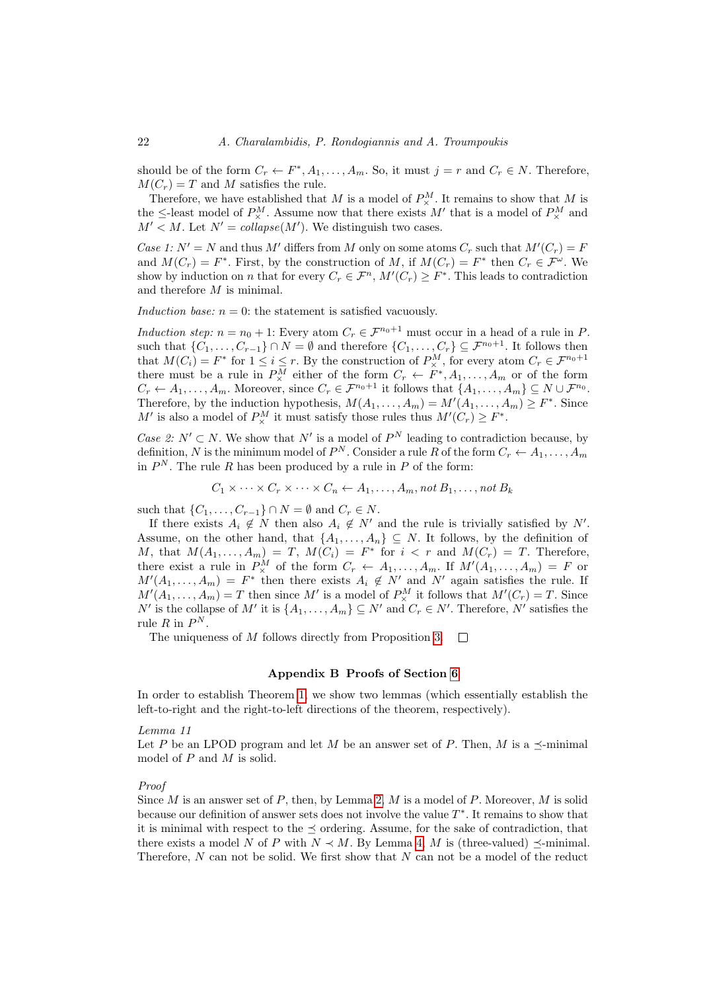should be of the form  $C_r \leftarrow F^*, A_1, \ldots, A_m$ . So, it must  $j = r$  and  $C_r \in N$ . Therefore,  $M(C_r) = T$  and M satisfies the rule.

Therefore, we have established that M is a model of  $P_{\times}^M$ . It remains to show that M is the  $\leq$ -least model of  $P^M_{\times}$ . Assume now that there exists M' that is a model of  $P^M_{\times}$  and  $M' < M$ . Let  $N' = collapse(M')$ . We distinguish two cases.

Case 1:  $N' = N$  and thus M' differs from M only on some atoms  $C_r$  such that  $M'(C_r) = F$ and  $M(C_r) = F^*$ . First, by the construction of M, if  $M(C_r) = F^*$  then  $C_r \in \mathcal{F}^\omega$ . We show by induction on n that for every  $C_r \in \mathcal{F}^n$ ,  $M'(C_r) \geq F^*$ . This leads to contradiction and therefore  $M$  is minimal.

Induction base:  $n = 0$ : the statement is satisfied vacuously.

Induction step:  $n = n_0 + 1$ : Every atom  $C_r \in \mathcal{F}^{n_0+1}$  must occur in a head of a rule in P. such that  $\{C_1,\ldots,C_{r-1}\}\cap N=\emptyset$  and therefore  $\{C_1,\ldots,C_r\}\subseteq \mathcal{F}^{n_0+1}$ . It follows then that  $M(C_i) = F^*$  for  $1 \le i \le r$ . By the construction of  $P_{\times}^M$ , for every atom  $C_r \in \mathcal{F}^{n_0+1}$ there must be a rule in  $P^M_\times$  either of the form  $C_r \leftarrow F^*, A_1, \ldots, A_m$  or of the form  $C_r \leftarrow A_1, \ldots, A_m$ . Moreover, since  $C_r \in \mathcal{F}^{n_0+1}$  it follows that  $\{A_1, \ldots, A_m\} \subseteq N \cup \mathcal{F}^{n_0}$ . Therefore, by the induction hypothesis,  $M(A_1, \ldots, A_m) = M'(A_1, \ldots, A_m) \geq F^*$ . Since M' is also a model of  $P^M_\times$  it must satisfy those rules thus  $M'(C_r) \geq F^*$ .

Case 2:  $N' \subset N$ . We show that N' is a model of  $P^N$  leading to contradiction because, by definition, N is the minimum model of  $P^N$ . Consider a rule R of the form  $C_r \leftarrow A_1, \ldots, A_m$ in  $P<sup>N</sup>$ . The rule R has been produced by a rule in P of the form:

$$
C_1 \times \cdots \times C_r \times \cdots \times C_n \leftarrow A_1, \ldots, A_m
$$
, not  $B_1, \ldots$ , not  $B_k$ 

such that  $\{C_1, \ldots, C_{r-1}\} \cap N = \emptyset$  and  $C_r \in N$ .

If there exists  $A_i \notin N$  then also  $A_i \notin N'$  and the rule is trivially satisfied by N'. Assume, on the other hand, that  $\{A_1, \ldots, A_n\} \subseteq N$ . It follows, by the definition of M, that  $M(A_1,\ldots,A_m) = T$ ,  $M(C_i) = F^*$  for  $i < r$  and  $M(C_r) = T$ . Therefore, there exist a rule in  $P^M_\times$  of the form  $C_r \leftarrow A_1, \ldots, A_m$ . If  $M'(A_1, \ldots, A_m) = F$  or  $M'(A_1,\ldots,A_m) = F^*$  then there exists  $A_i \notin N'$  and N' again satisfies the rule. If  $M'(A_1, \ldots, A_m) = T$  then since M' is a model of  $P_{\times}^M$  it follows that  $M'(C_r) = T$ . Since N' is the collapse of M' it is  $\{A_1, \ldots, A_m\} \subseteq N'$  and  $C_r \in N'$ . Therefore, N' satisfies the rule R in  $P^N$ .

The uniqueness of M follows directly from Proposition [3.](#page-18-2)  $\Box$ 

#### <span id="page-21-0"></span>Appendix B Proofs of Section [6](#page-10-0)

In order to establish Theorem [1,](#page-11-0) we show two lemmas (which essentially establish the left-to-right and the right-to-left directions of the theorem, respectively).

# Lemma 11

Let P be an LPOD program and let M be an answer set of P. Then, M is a  $\prec$ -minimal model of P and M is solid.

#### Proof

Since M is an answer set of P, then, by Lemma [2,](#page-8-2) M is a model of P. Moreover, M is solid because our definition of answer sets does not involve the value  $T^*$ . It remains to show that it is minimal with respect to the  $\prec$  ordering. Assume, for the sake of contradiction, that there exists a model N of P with  $N \prec M$ . By Lemma [4,](#page-8-4) M is (three-valued)  $\prec$ -minimal. Therefore,  $N$  can not be solid. We first show that  $N$  can not be a model of the reduct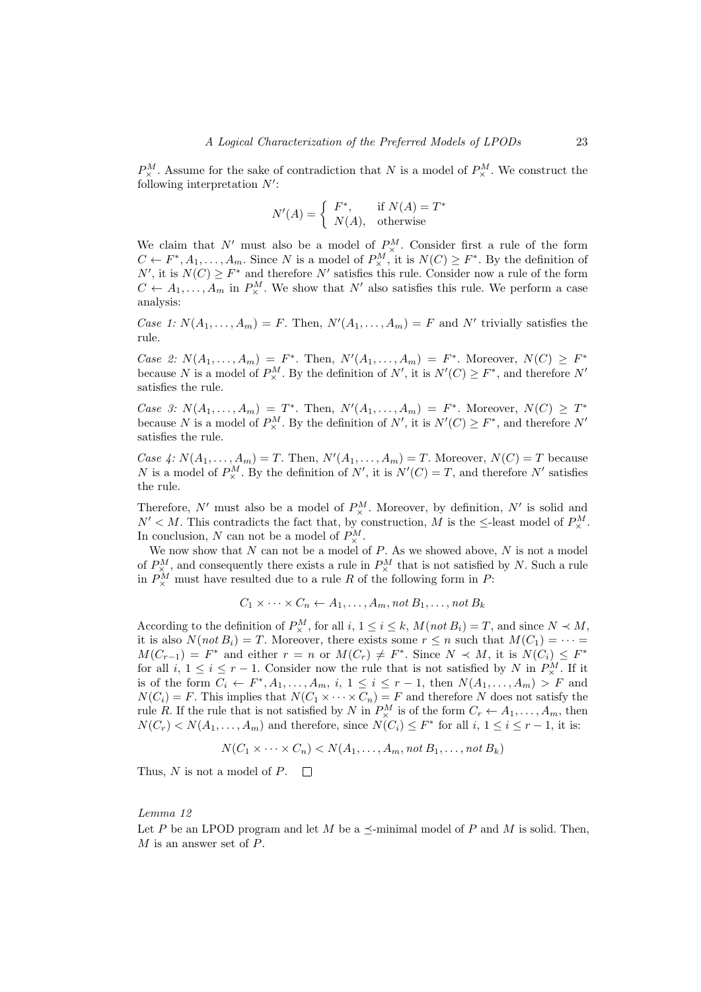$P_{\times}^{M}$ . Assume for the sake of contradiction that N is a model of  $P_{\times}^{M}$ . We construct the following interpretation  $N'$ :

$$
N'(A) = \begin{cases} F^*, & \text{if } N(A) = T^* \\ N(A), & \text{otherwise} \end{cases}
$$

We claim that N' must also be a model of  $P_{\times}^{M}$ . Consider first a rule of the form  $C \leftarrow F^*, A_1, \ldots, A_m$ . Since N is a model of  $P_{\times}^M$ , it is  $N(C) \geq F^*$ . By the definition of N', it is  $N(C) \geq F^*$  and therefore N' satisfies this rule. Consider now a rule of the form  $C \leftarrow A_1, \ldots, A_m$  in  $P^M_\times$ . We show that N' also satisfies this rule. We perform a case analysis:

Case 1:  $N(A_1, \ldots, A_m) = F$ . Then,  $N'(A_1, \ldots, A_m) = F$  and N' trivially satisfies the rule.

Case 2:  $N(A_1, ..., A_m) = F^*$ . Then,  $N'(A_1, ..., A_m) = F^*$ . Moreover,  $N(C) \geq F^*$ because N is a model of  $P^M_\times$ . By the definition of N', it is  $N'(C) \geq F^*$ , and therefore N' satisfies the rule.

Case 3:  $N(A_1,\ldots,A_m) = T^*$ . Then,  $N'(A_1,\ldots,A_m) = F^*$ . Moreover,  $N(C) \geq T^*$ because N is a model of  $P_{\times}^M$ . By the definition of N', it is  $N'(C) \geq F^*$ , and therefore N' satisfies the rule.

Case 4:  $N(A_1, \ldots, A_m) = T$ . Then,  $N'(A_1, \ldots, A_m) = T$ . Moreover,  $N(C) = T$  because N is a model of  $P_{\times}^M$ . By the definition of N', it is  $N'(C) = T$ , and therefore N' satisfies the rule.

Therefore, N' must also be a model of  $P_{\times}^{M}$ . Moreover, by definition, N' is solid and  $N' < M$ . This contradicts the fact that, by construction, M is the  $\leq$ -least model of  $P^M_{\times}$ . In conclusion, N can not be a model of  $P^M_{\times}$ .

We now show that N can not be a model of P. As we showed above, N is not a model of  $P_{\times}^{M}$ , and consequently there exists a rule in  $P_{\times}^{M}$  that is not satisfied by N. Such a rule in  $P^M_\times$  must have resulted due to a rule R of the following form in P:

$$
C_1 \times \cdots \times C_n \leftarrow A_1, \ldots, A_m
$$
, not  $B_1, \ldots$ , not  $B_k$ 

According to the definition of  $P_{\times}^{M}$ , for all  $i, 1 \leq i \leq k$ ,  $M(not B_i) = T$ , and since  $N \prec M$ , it is also  $N(not B_i) = T$ . Moreover, there exists some  $r \leq n$  such that  $M(C_1) = \cdots =$  $M(C_{r-1}) = F^*$  and either  $r = n$  or  $M(C_r) \neq F^*$ . Since  $N \prec M$ , it is  $N(C_i) \leq F^*$ for all  $i, 1 \leq i \leq r-1$ . Consider now the rule that is not satisfied by N in  $P^M_{\times}$ . If it is of the form  $C_i \leftarrow F^*, A_1, \ldots, A_m, i, 1 \leq i \leq r-1$ , then  $N(A_1, \ldots, A_m) > F$  and  $N(C_i) = F$ . This implies that  $N(C_1 \times \cdots \times C_n) = F$  and therefore N does not satisfy the rule R. If the rule that is not satisfied by N in  $P_{\times}^M$  is of the form  $C_r \leftarrow A_1, \ldots, A_m$ , then  $N(C_r) < N(A_1, \ldots, A_m)$  and therefore, since  $N(C_i) \leq F^*$  for all  $i, 1 \leq i \leq r-1$ , it is:

$$
N(C_1 \times \cdots \times C_n) < N(A_1, \ldots, A_m, \text{not } B_1, \ldots, \text{not } B_k)
$$

Thus, N is not a model of P.  $\Box$ 

#### <span id="page-22-0"></span>Lemma 12

Let P be an LPOD program and let M be a  $\prec$ -minimal model of P and M is solid. Then,  $M$  is an answer set of  $P$ .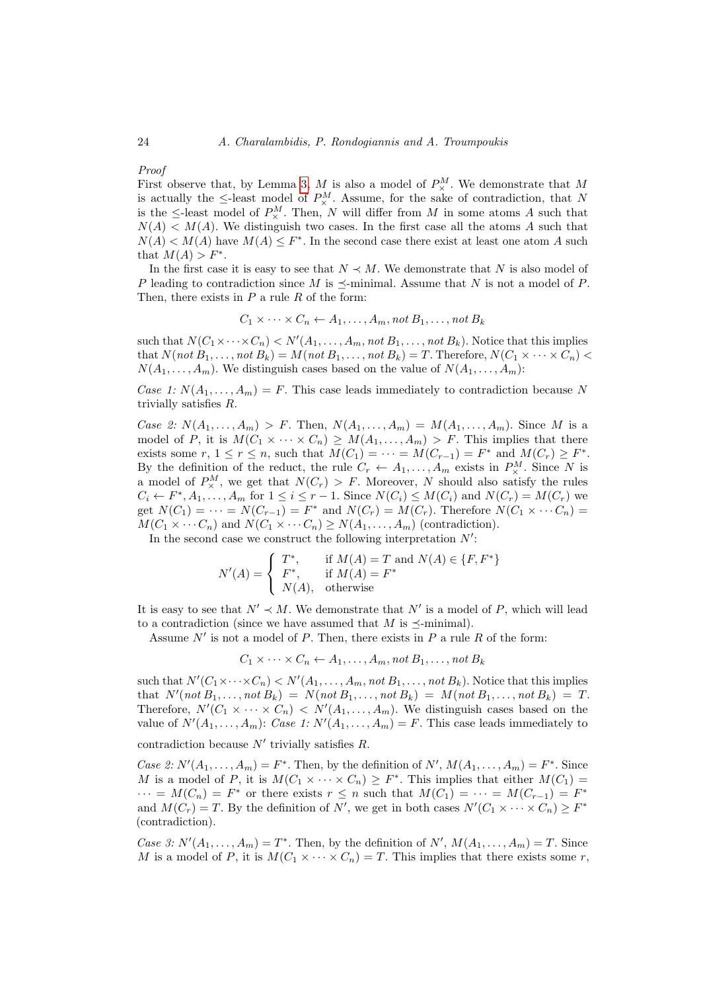# Proof

First observe that, by Lemma [3,](#page-8-3) M is also a model of  $P^M_\times$ . We demonstrate that M is actually the  $\leq$ -least model of  $P_{\times}^{M}$ . Assume, for the sake of contradiction, that N is the  $\leq$ -least model of  $P_{\times}^M$ . Then, N will differ from M in some atoms A such that  $N(A) < M(A)$ . We distinguish two cases. In the first case all the atoms A such that  $N(A) < M(A)$  have  $M(A) \leq F^*$ . In the second case there exist at least one atom A such that  $M(A) > F^*$ .

In the first case it is easy to see that  $N \prec M$ . We demonstrate that N is also model of P leading to contradiction since M is  $\prec$ -minimal. Assume that N is not a model of P. Then, there exists in  $P$  a rule  $R$  of the form:

$$
C_1 \times \cdots \times C_n \leftarrow A_1, \ldots, A_m, \text{not } B_1, \ldots, \text{not } B_k
$$

such that  $N(C_1 \times \cdots \times C_n) < N'(A_1, \ldots, A_m, \text{not } B_1, \ldots, \text{not } B_k)$ . Notice that this implies that  $N(not B_1, \ldots, not B_k) = M(not B_1, \ldots, not B_k) = T$ . Therefore,  $N(C_1 \times \cdots \times C_n)$  $N(A_1, \ldots, A_m)$ . We distinguish cases based on the value of  $N(A_1, \ldots, A_m)$ :

Case 1:  $N(A_1, \ldots, A_m) = F$ . This case leads immediately to contradiction because N trivially satisfies R.

Case 2:  $N(A_1, ..., A_m) > F$ . Then,  $N(A_1, ..., A_m) = M(A_1, ..., A_m)$ . Since M is a model of P, it is  $M(C_1 \times \cdots \times C_n) \geq M(A_1, \ldots, A_m) > F$ . This implies that there exists some  $r, 1 \le r \le n$ , such that  $M(C_1) = \cdots = M(C_{r-1}) = F^*$  and  $M(C_r) \ge F^*$ . By the definition of the reduct, the rule  $C_r \leftarrow A_1, \ldots, A_m$  exists in  $P_\times^M$ . Since N is a model of  $P_{\times}^{M}$ , we get that  $N(C_r) > F$ . Moreover, N should also satisfy the rules  $C_i \leftarrow F^*, A_1, \ldots, A_m$  for  $1 \leq i \leq r-1$ . Since  $N(C_i) \leq M(C_i)$  and  $N(C_r) = M(C_r)$  we get  $N(C_1) = \cdots = N(C_{r-1}) = F^*$  and  $N(C_r) = M(C_r)$ . Therefore  $N(C_1 \times \cdots C_n) =$  $M(C_1 \times \cdots C_n)$  and  $N(C_1 \times \cdots C_n) \geq N(A_1, \ldots, A_m)$  (contradiction).

In the second case we construct the following interpretation  $N'$ :

$$
N'(A) = \begin{cases} T^*, & \text{if } M(A) = T \text{ and } N(A) \in \{F, F^*\} \\ F^*, & \text{if } M(A) = F^* \\ N(A), & \text{otherwise} \end{cases}
$$

It is easy to see that  $N' \prec M$ . We demonstrate that N' is a model of P, which will lead to a contradiction (since we have assumed that  $M$  is  $\preceq$ -minimal).

Assume  $N'$  is not a model of P. Then, there exists in P a rule R of the form:

$$
C_1 \times \cdots \times C_n \leftarrow A_1, \ldots, A_m, \text{not } B_1, \ldots, \text{not } B_k
$$

such that  $N'(C_1 \times \cdots \times C_n) < N'(A_1, \ldots, A_m, \text{not } B_1, \ldots, \text{not } B_k)$ . Notice that this implies that  $N'(not B_1, \ldots, not B_k) = N(not B_1, \ldots, not B_k) = M(not B_1, \ldots, not B_k) = T$ . Therefore,  $N'(C_1 \times \cdots \times C_n) < N'(A_1, \ldots, A_m)$ . We distinguish cases based on the value of  $N'(A_1, \ldots, A_m)$ : Case 1:  $N'(A_1, \ldots, A_m) = F$ . This case leads immediately to

contradiction because  $N'$  trivially satisfies  $R$ .

Case 2:  $N'(A_1, \ldots, A_m) = F^*$ . Then, by the definition of  $N', M(A_1, \ldots, A_m) = F^*$ . Since M is a model of P, it is  $M(C_1 \times \cdots \times C_n) \geq F^*$ . This implies that either  $M(C_1)$  =  $\cdots = M(C_n) = F^*$  or there exists  $r \leq n$  such that  $M(C_1) = \cdots = M(C_{r-1}) = F^*$ and  $M(C_r) = T$ . By the definition of N', we get in both cases  $N'(C_1 \times \cdots \times C_n) \geq F^*$ (contradiction).

Case 3:  $N'(A_1, \ldots, A_m) = T^*$ . Then, by the definition of  $N'$ ,  $M(A_1, \ldots, A_m) = T$ . Since M is a model of P, it is  $M(C_1 \times \cdots \times C_n) = T$ . This implies that there exists some r,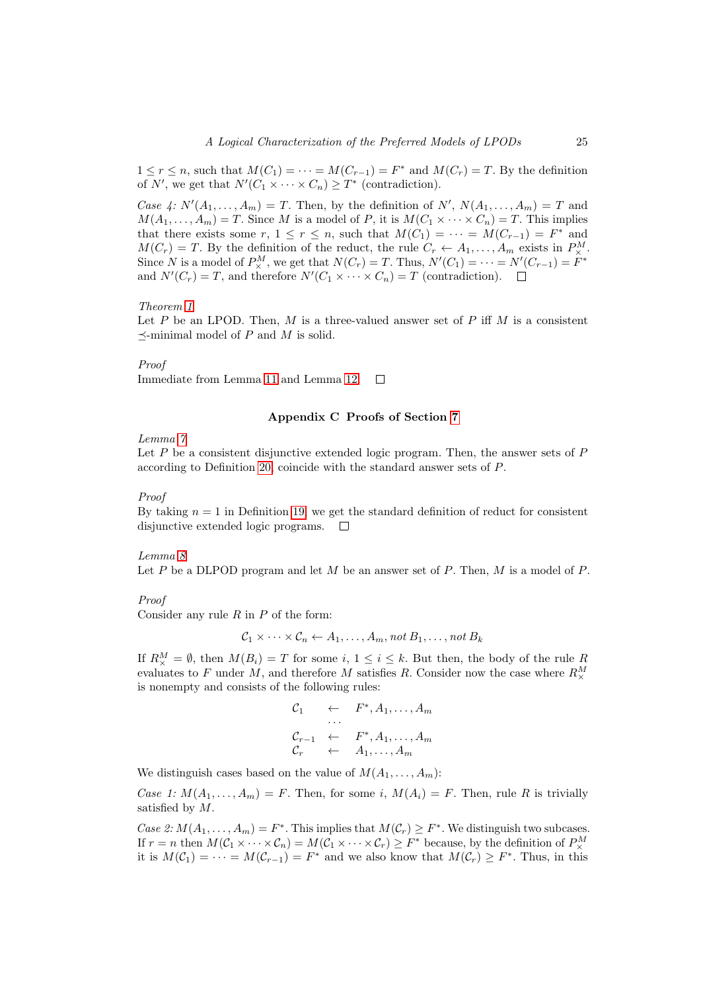$1 \leq r \leq n$ , such that  $M(C_1) = \cdots = M(C_{r-1}) = F^*$  and  $M(C_r) = T$ . By the definition of N', we get that  $N'(C_1 \times \cdots \times C_n) \geq T^*$  (contradiction).

Case 4:  $N'(A_1, \ldots, A_m) = T$ . Then, by the definition of N',  $N(A_1, \ldots, A_m) = T$  and  $M(A_1, \ldots, A_m) = T$ . Since M is a model of P, it is  $M(C_1 \times \cdots \times C_n) = T$ . This implies that there exists some r,  $1 \le r \le n$ , such that  $M(C_1) = \cdots = M(C_{r-1}) = F^*$  and  $M(C_r) = T$ . By the definition of the reduct, the rule  $C_r \leftarrow A_1, \ldots, A_m$  exists in  $P^M_{\times}$ . Since N is a model of  $P_{\times}^M$ , we get that  $N(C_r) = T$ . Thus,  $N'(C_1) = \cdots = N'(C_{r-1}) = F^*$ and  $N'(C_r) = T$ , and therefore  $N'(C_1 \times \cdots \times C_n) = T$  (contradiction).

#### Theorem [1](#page-11-0)

Let P be an LPOD. Then, M is a three-valued answer set of P iff M is a consistent  $\prec$ -minimal model of P and M is solid.

#### Proof

Immediate from Lemma [11](#page-21-0) and Lemma [12.](#page-22-0)  $\Box$ 

# Appendix C Proofs of Section [7](#page-11-2)

#### Lemma [7](#page-13-1)

Let  $P$  be a consistent disjunctive extended logic program. Then, the answer sets of  $P$ according to Definition [20,](#page-13-0) coincide with the standard answer sets of P.

#### Proof

By taking  $n = 1$  in Definition [19,](#page-13-2) we get the standard definition of reduct for consistent disjunctive extended logic programs.  $\square$ 

#### Lemma [8](#page-13-3)

Let P be a DLPOD program and let M be an answer set of P. Then,  $M$  is a model of P.

#### Proof

Consider any rule  $R$  in  $P$  of the form:

$$
C_1 \times \cdots \times C_n \leftarrow A_1, \ldots, A_m, \text{not } B_1, \ldots, \text{not } B_k
$$

If  $R_{\times}^M = \emptyset$ , then  $M(B_i) = T$  for some  $i, 1 \leq i \leq k$ . But then, the body of the rule R evaluates to F under M, and therefore M satisfies R. Consider now the case where  $R^M_\times$ is nonempty and consists of the following rules:

$$
C_1 \leftarrow F^*, A_1, \ldots, A_m
$$
  
\n
$$
C_{r-1} \leftarrow F^*, A_1, \ldots, A_m
$$
  
\n
$$
C_r \leftarrow A_1, \ldots, A_m
$$

We distinguish cases based on the value of  $M(A_1, \ldots, A_m)$ :

Case 1:  $M(A_1, \ldots, A_m) = F$ . Then, for some i,  $M(A_i) = F$ . Then, rule R is trivially satisfied by M.

Case 2:  $M(A_1, ..., A_m) = F^*$ . This implies that  $M(\mathcal{C}_r) \geq F^*$ . We distinguish two subcases. If  $r = n$  then  $M(C_1 \times \cdots \times C_n) = M(C_1 \times \cdots \times C_r) \geq F^*$  because, by the definition of  $P^M_{\times}$ it is  $M(\mathcal{C}_1) = \cdots = M(\mathcal{C}_{r-1}) = F^*$  and we also know that  $M(\mathcal{C}_r) \geq F^*$ . Thus, in this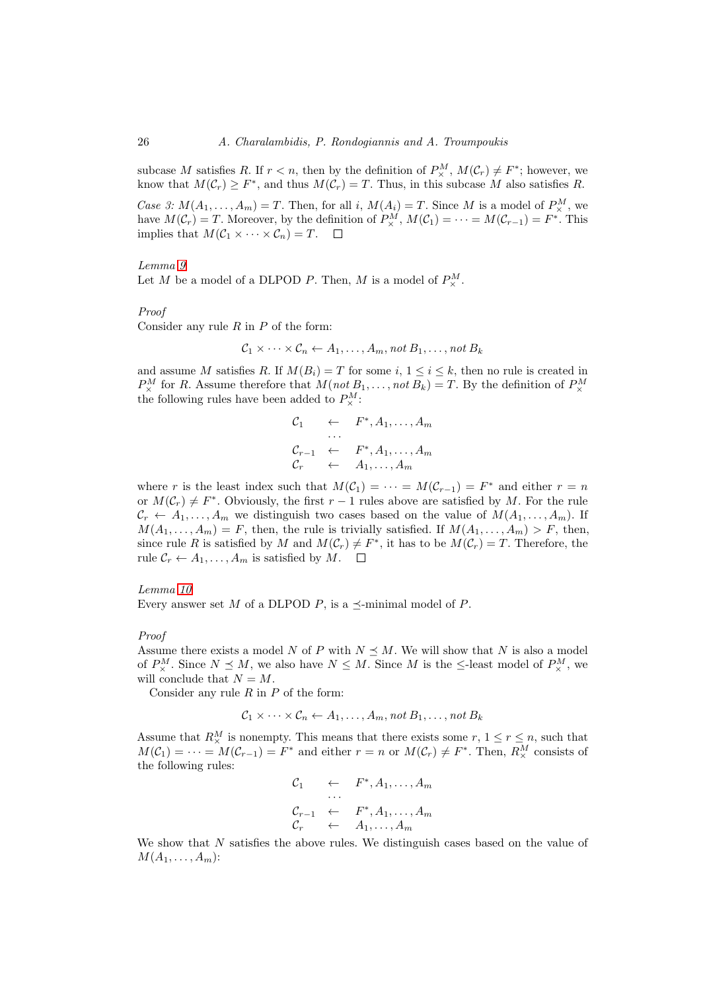subcase M satisfies R. If  $r < n$ , then by the definition of  $P_{\times}^M$ ,  $M(C_r) \neq F^*$ ; however, we know that  $M(\mathcal{C}_r) \geq F^*$ , and thus  $M(\mathcal{C}_r) = T$ . Thus, in this subcase M also satisfies R.

Case 3:  $M(A_1, \ldots, A_m) = T$ . Then, for all i,  $M(A_i) = T$ . Since M is a model of  $P_{\times}^M$ , we have  $M(\mathcal{C}_r) = T$ . Moreover, by the definition of  $P_{\times}^M$ ,  $M(\mathcal{C}_1) = \cdots = M(\mathcal{C}_{r-1}) = F^*$ . This implies that  $M(C_1 \times \cdots \times C_n) = T$ .  $\square$ 

#### Lemma [9](#page-13-4)

Let M be a model of a DLPOD P. Then, M is a model of  $P^M_\times$ .

# Proof

Consider any rule  $R$  in  $P$  of the form:

$$
C_1 \times \cdots \times C_n \leftarrow A_1, \ldots, A_m, \text{not } B_1, \ldots, \text{not } B_k
$$

and assume M satisfies R. If  $M(B_i) = T$  for some i,  $1 \le i \le k$ , then no rule is created in  $P_{\times}^{M}$  for R. Assume therefore that  $M(not B_1, \ldots, not B_k) = T$ . By the definition of  $P_{\times}^{M}$ the following rules have been added to  $P^M_{\times}$ :

$$
C_1 \leftarrow F^*, A_1, \ldots, A_m
$$
  
\n
$$
C_{r-1} \leftarrow F^*, A_1, \ldots, A_m
$$
  
\n
$$
C_r \leftarrow A_1, \ldots, A_m
$$

where r is the least index such that  $M(\mathcal{C}_1) = \cdots = M(\mathcal{C}_{r-1}) = F^*$  and either  $r = n$ or  $M(\mathcal{C}_r) \neq F^*$ . Obviously, the first  $r-1$  rules above are satisfied by M. For the rule  $\mathcal{C}_r \leftarrow A_1, \ldots, A_m$  we distinguish two cases based on the value of  $M(A_1, \ldots, A_m)$ . If  $M(A_1, \ldots, A_m) = F$ , then, the rule is trivially satisfied. If  $M(A_1, \ldots, A_m) > F$ , then, since rule R is satisfied by M and  $M(\mathcal{C}_r) \neq F^*$ , it has to be  $M(\mathcal{C}_r) = T$ . Therefore, the rule  $C_r \leftarrow A_1, \ldots, A_m$  is satisfied by M.  $\Box$ 

# Lemma [10](#page-13-5)

Every answer set M of a DLPOD P, is a  $\preceq$ -minimal model of P.

#### Proof

Assume there exists a model N of P with  $N \leq M$ . We will show that N is also a model of  $P_{\times}^{M}$ . Since  $N \leq M$ , we also have  $N \leq M$ . Since M is the  $\leq$ -least model of  $P_{\times}^{M}$ , we will conclude that  $N = M$ .

Consider any rule  $R$  in  $P$  of the form:

$$
C_1 \times \cdots \times C_n \leftarrow A_1, \ldots, A_m, \text{not } B_1, \ldots, \text{not } B_k
$$

Assume that  $R^M_\times$  is nonempty. This means that there exists some  $r, 1 \leq r \leq n$ , such that  $M(\mathcal{C}_1) = \cdots = M(\mathcal{C}_{r-1}) = F^*$  and either  $r = n$  or  $M(\mathcal{C}_r) \neq F^*$ . Then,  $R^M_\times$  consists of the following rules:

$$
C_1 \leftarrow F^*, A_1, \dots, A_m
$$
  
\n
$$
\dots
$$
  
\n
$$
C_{r-1} \leftarrow F^*, A_1, \dots, A_m
$$
  
\n
$$
C_r \leftarrow A_1, \dots, A_m
$$

We show that N satisfies the above rules. We distinguish cases based on the value of  $M(A_1, \ldots, A_m)$ :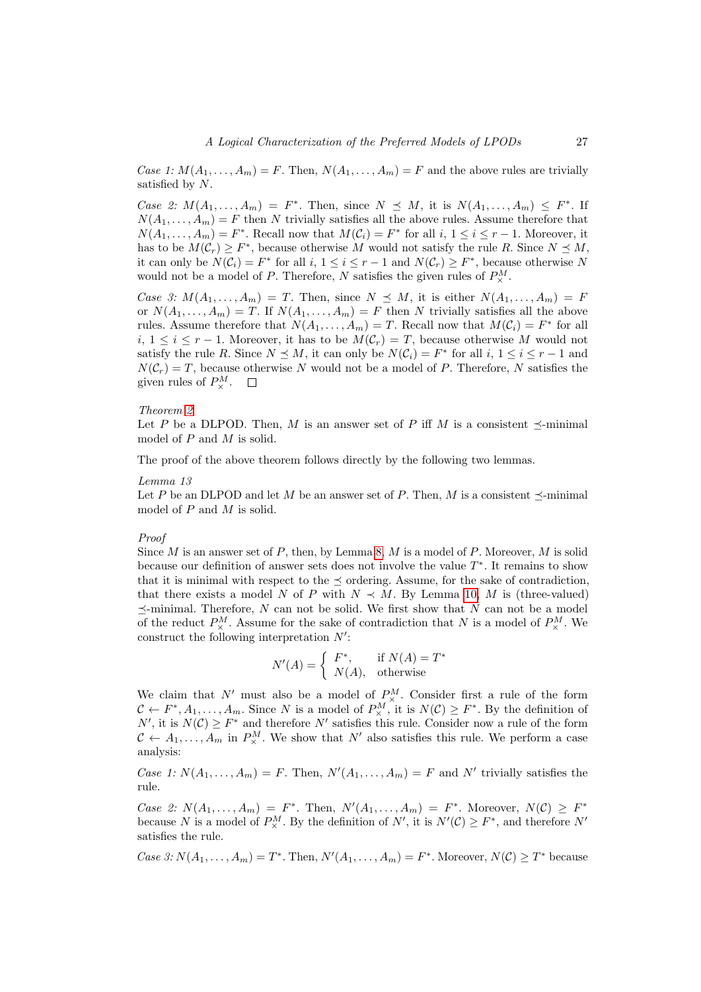Case 1:  $M(A_1, \ldots, A_m) = F$ . Then,  $N(A_1, \ldots, A_m) = F$  and the above rules are trivially satisfied by N.

Case 2:  $M(A_1,\ldots,A_m) = F^*$ . Then, since  $N \preceq M$ , it is  $N(A_1,\ldots,A_m) \preceq F^*$ . If  $N(A_1, \ldots, A_m) = F$  then N trivially satisfies all the above rules. Assume therefore that  $N(A_1, \ldots, A_m) = F^*$ . Recall now that  $M(C_i) = F^*$  for all  $i, 1 \le i \le r - 1$ . Moreover, it has to be  $M(\mathcal{C}_r) \geq F^*$ , because otherwise M would not satisfy the rule R. Since  $N \preceq M$ , it can only be  $N(\mathcal{C}_i) = F^*$  for all  $i, 1 \le i \le r-1$  and  $N(\mathcal{C}_r) \ge F^*$ , because otherwise N would not be a model of P. Therefore, N satisfies the given rules of  $P^M_{\times}$ .

Case 3:  $M(A_1,\ldots,A_m) = T$ . Then, since  $N \preceq M$ , it is either  $N(A_1,\ldots,A_m) = F$ or  $N(A_1, \ldots, A_m) = T$ . If  $N(A_1, \ldots, A_m) = F$  then N trivially satisfies all the above rules. Assume therefore that  $N(A_1, \ldots, A_m) = T$ . Recall now that  $M(C_i) = F^*$  for all  $i, 1 \leq i \leq r-1$ . Moreover, it has to be  $M(\mathcal{C}_r) = T$ , because otherwise M would not satisfy the rule R. Since  $N \leq M$ , it can only be  $N(\mathcal{C}_i) = F^*$  for all  $i, 1 \leq i \leq r-1$  and  $N(\mathcal{C}_r) = T$ , because otherwise N would not be a model of P. Therefore, N satisfies the given rules of  $P^M_{\times}$ .

#### Theorem [2](#page-13-6)

Let P be a DLPOD. Then, M is an answer set of P iff M is a consistent  $\prec$ -minimal model of P and M is solid.

The proof of the above theorem follows directly by the following two lemmas.

#### Lemma 13

Let P be an DLPOD and let M be an answer set of P. Then, M is a consistent  $\preceq$ -minimal model of  $P$  and  $M$  is solid.

#### Proof

Since M is an answer set of P, then, by Lemma [8,](#page-13-3) M is a model of P. Moreover, M is solid because our definition of answer sets does not involve the value  $T^*$ . It remains to show that it is minimal with respect to the  $\prec$  ordering. Assume, for the sake of contradiction, that there exists a model N of P with  $N \prec M$ . By Lemma [10,](#page-13-5) M is (three-valued)  $\preceq$ -minimal. Therefore, N can not be solid. We first show that N can not be a model of the reduct  $P_{\times}^M$ . Assume for the sake of contradiction that N is a model of  $P_{\times}^M$ . We construct the following interpretation  $N'$ :

$$
N'(A) = \begin{cases} F^*, & \text{if } N(A) = T^* \\ N(A), & \text{otherwise} \end{cases}
$$

We claim that N' must also be a model of  $P_{\times}^{M}$ . Consider first a rule of the form  $C \leftarrow F^*, A_1, \ldots, A_m$ . Since N is a model of  $P_{\times}^M$ , it is  $N(\mathcal{C}) \geq F^*$ . By the definition of N', it is  $N(\mathcal{C}) \geq F^*$  and therefore N' satisfies this rule. Consider now a rule of the form  $C \leftarrow A_1, \ldots, A_m$  in  $P^M_{\times}$ . We show that N' also satisfies this rule. We perform a case analysis:

Case 1:  $N(A_1, \ldots, A_m) = F$ . Then,  $N'(A_1, \ldots, A_m) = F$  and N' trivially satisfies the rule.

Case 2:  $N(A_1,\ldots,A_m) = F^*$ . Then,  $N'(A_1,\ldots,A_m) = F^*$ . Moreover,  $N(\mathcal{C}) \geq F^*$ because N is a model of  $P_{\times}^{M}$ . By the definition of N', it is  $N'(\mathcal{C}) \geq F^*$ , and therefore N' satisfies the rule.

Case 3:  $N(A_1, ..., A_m) = T^*$ . Then,  $N'(A_1, ..., A_m) = F^*$ . Moreover,  $N(\mathcal{C}) \geq T^*$  because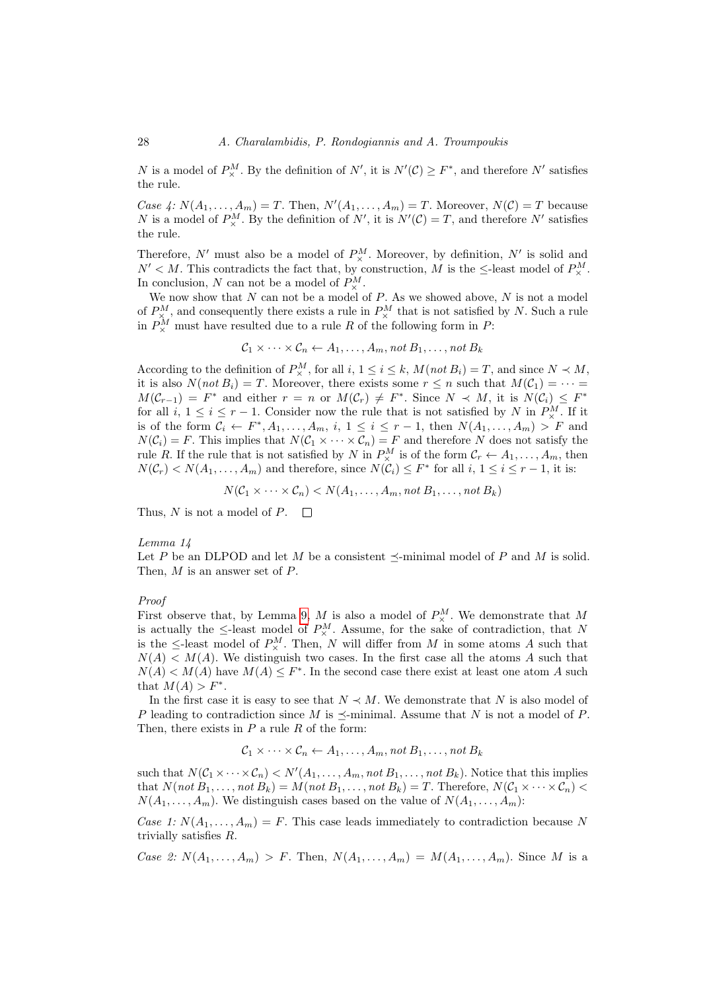N is a model of  $P_{\times}^M$ . By the definition of N', it is  $N'(\mathcal{C}) \geq F^*$ , and therefore N' satisfies the rule.

Case 4:  $N(A_1,\ldots,A_m) = T$ . Then,  $N'(A_1,\ldots,A_m) = T$ . Moreover,  $N(\mathcal{C}) = T$  because N is a model of  $P_{\times}^M$ . By the definition of N', it is  $N'(\mathcal{C}) = T$ , and therefore N' satisfies the rule.

Therefore,  $N'$  must also be a model of  $P_{\times}^{M}$ . Moreover, by definition,  $N'$  is solid and  $N' < M$ . This contradicts the fact that, by construction, M is the  $\leq$ -least model of  $P^M_{\times}$ . In conclusion, N can not be a model of  $P^M_{\times}$ .

We now show that  $N$  can not be a model of  $P$ . As we showed above,  $N$  is not a model of  $P_{\times}^{M}$ , and consequently there exists a rule in  $P_{\times}^{M}$  that is not satisfied by N. Such a rule in  $P^M_\times$  must have resulted due to a rule R of the following form in P:

$$
C_1 \times \cdots \times C_n \leftarrow A_1, \ldots, A_m
$$
, not  $B_1, \ldots$ , not  $B_k$ 

According to the definition of  $P_{\times}^{M}$ , for all  $i, 1 \leq i \leq k$ ,  $M(not B_i) = T$ , and since  $N \prec M$ , it is also  $N(not B_i) = T$ . Moreover, there exists some  $r \leq n$  such that  $M(C_1) = \cdots =$  $M(\mathcal{C}_{r-1}) = F^*$  and either  $r = n$  or  $M(\mathcal{C}_r) \neq F^*$ . Since  $N \prec M$ , it is  $N(\mathcal{C}_i) \leq F^*$ for all  $i, 1 \leq i \leq r-1$ . Consider now the rule that is not satisfied by N in  $P^M_{\times}$ . If it is of the form  $C_i \leftarrow F^*, A_1, \ldots, A_m, i, 1 \leq i \leq r-1$ , then  $N(A_1, \ldots, A_m) > F$  and  $N(\mathcal{C}_i) = F$ . This implies that  $N(\mathcal{C}_1 \times \cdots \times \mathcal{C}_n) = F$  and therefore N does not satisfy the rule R. If the rule that is not satisfied by N in  $P_{\times}^M$  is of the form  $\mathcal{C}_r \leftarrow A_1, \ldots, A_m$ , then  $N(\mathcal{C}_r) < N(A_1, \ldots, A_m)$  and therefore, since  $N(\mathcal{C}_i) \leq F^*$  for all  $i, 1 \leq i \leq r-1$ , it is:

$$
N(C_1 \times \cdots \times C_n) < N(A_1, \ldots, A_m, \text{not } B_1, \ldots, \text{not } B_k)
$$

Thus, N is not a model of P.  $\Box$ 

#### Lemma 14

Let P be an DLPOD and let M be a consistent  $\preceq$ -minimal model of P and M is solid. Then, M is an answer set of P.

#### Proof

First observe that, by Lemma [9,](#page-13-4) M is also a model of  $P^M_\times$ . We demonstrate that M is actually the  $\leq$ -least model of  $P_{\times}^{M}$ . Assume, for the sake of contradiction, that N is the  $\leq$ -least model of  $P^M_\times$ . Then, N will differ from M in some atoms A such that  $N(A) < M(A)$ . We distinguish two cases. In the first case all the atoms A such that  $N(A) < M(A)$  have  $M(A) \leq F^*$ . In the second case there exist at least one atom A such that  $M(A) > F^*$ .

In the first case it is easy to see that  $N \prec M$ . We demonstrate that N is also model of P leading to contradiction since M is  $\prec$ -minimal. Assume that N is not a model of P. Then, there exists in  $P$  a rule  $R$  of the form:

 $\mathcal{C}_1 \times \cdots \times \mathcal{C}_n \leftarrow A_1, \ldots, A_m$ , not  $B_1, \ldots, n$ ot  $B_k$ 

such that  $N(C_1 \times \cdots \times C_n) < N'(A_1, \ldots, A_m, \text{not } B_1, \ldots, \text{not } B_k)$ . Notice that this implies that  $N(not \tilde{B}_1, \ldots, not \tilde{B}_k) = \tilde{M}(not \tilde{B}_1, \ldots, not \tilde{B}_k) = T$ . Therefore,  $N(C_1 \times \cdots \times C_n)$  $N(A_1, \ldots, A_m)$ . We distinguish cases based on the value of  $N(A_1, \ldots, A_m)$ :

Case 1:  $N(A_1, \ldots, A_m) = F$ . This case leads immediately to contradiction because N trivially satisfies R.

Case 2:  $N(A_1, ..., A_m) > F$ . Then,  $N(A_1, ..., A_m) = M(A_1, ..., A_m)$ . Since M is a